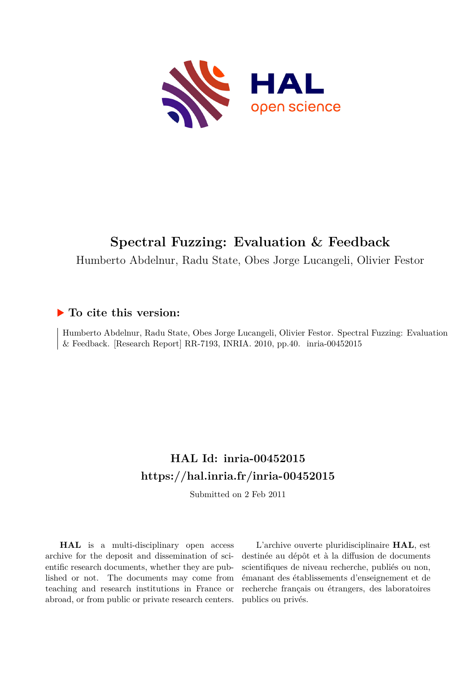

## **Spectral Fuzzing: Evaluation & Feedback**

Humberto Abdelnur, Radu State, Obes Jorge Lucangeli, Olivier Festor

#### **To cite this version:**

Humberto Abdelnur, Radu State, Obes Jorge Lucangeli, Olivier Festor. Spectral Fuzzing: Evaluation  $&$  Feedback. [Research Report] RR-7193, INRIA. 2010, pp.40. inria-00452015

### **HAL Id: inria-00452015 <https://hal.inria.fr/inria-00452015>**

Submitted on 2 Feb 2011

**HAL** is a multi-disciplinary open access archive for the deposit and dissemination of scientific research documents, whether they are published or not. The documents may come from teaching and research institutions in France or abroad, or from public or private research centers.

L'archive ouverte pluridisciplinaire **HAL**, est destinée au dépôt et à la diffusion de documents scientifiques de niveau recherche, publiés ou non, émanant des établissements d'enseignement et de recherche français ou étrangers, des laboratoires publics ou privés.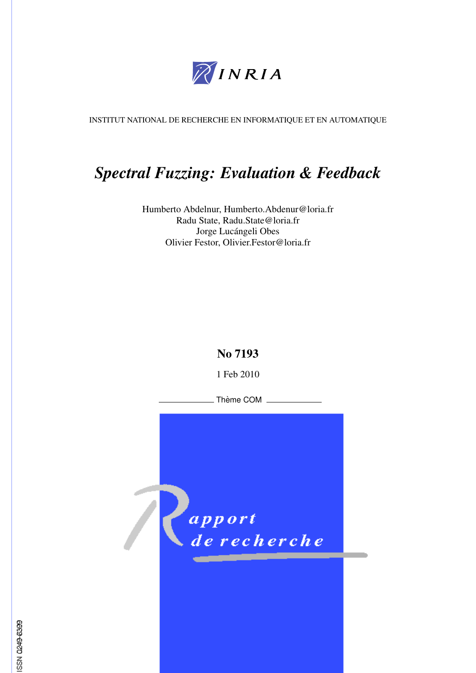

INSTITUT NATIONAL DE RECHERCHE EN INFORMATIQUE ET EN AUTOMATIQUE

## *Spectral Fuzzing: Evaluation & Feedback*

Humberto Abdelnur, Humberto.Abdenur@loria.fr Radu State, Radu.State@loria.fr Jorge Lucángeli Obes Olivier Festor, Olivier.Festor@loria.fr

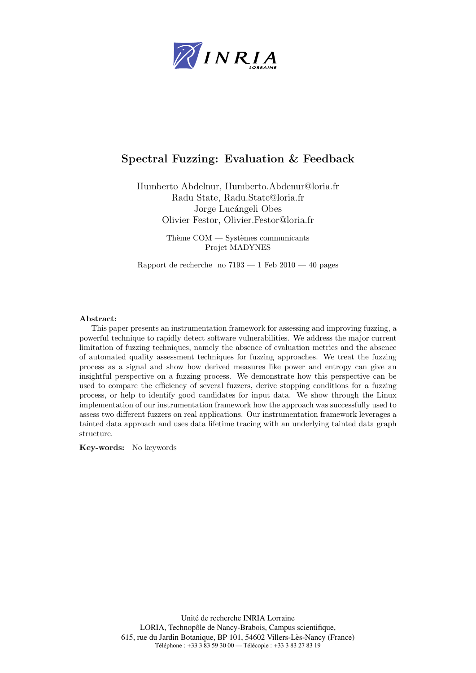

#### Spectral Fuzzing: Evaluation & Feedback

Humberto Abdelnur, Humberto.Abdenur@loria.fr Radu State, Radu.State@loria.fr Jorge Lucángeli Obes Olivier Festor, Olivier.Festor@loria.fr

> Thème  $COM - S$ ystèmes communicants Projet MADYNES

Rapport de recherche no  $7193 - 1$  Feb  $2010 - 40$  pages

#### Abstract:

This paper presents an instrumentation framework for assessing and improving fuzzing, a powerful technique to rapidly detect software vulnerabilities. We address the major current limitation of fuzzing techniques, namely the absence of evaluation metrics and the absence of automated quality assessment techniques for fuzzing approaches. We treat the fuzzing process as a signal and show how derived measures like power and entropy can give an insightful perspective on a fuzzing process. We demonstrate how this perspective can be used to compare the efficiency of several fuzzers, derive stopping conditions for a fuzzing process, or help to identify good candidates for input data. We show through the Linux implementation of our instrumentation framework how the approach was successfully used to assess two different fuzzers on real applications. Our instrumentation framework leverages a tainted data approach and uses data lifetime tracing with an underlying tainted data graph structure.

Key-words: No keywords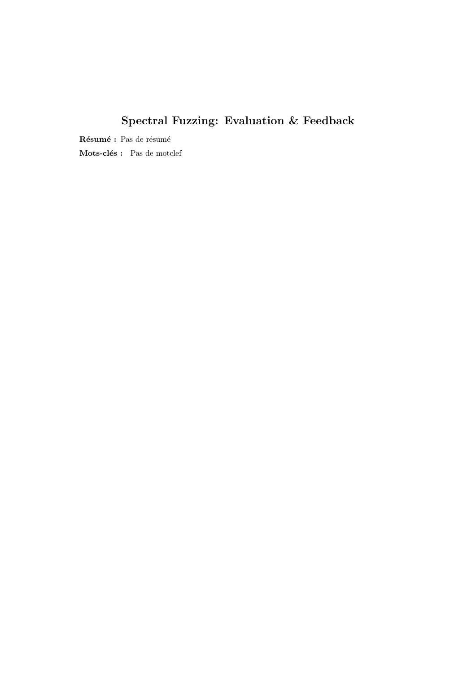## Spectral Fuzzing: Evaluation & Feedback

 $\mathbf R$ ésumé : Pas de résumé

Mots-clés : Pas de motclef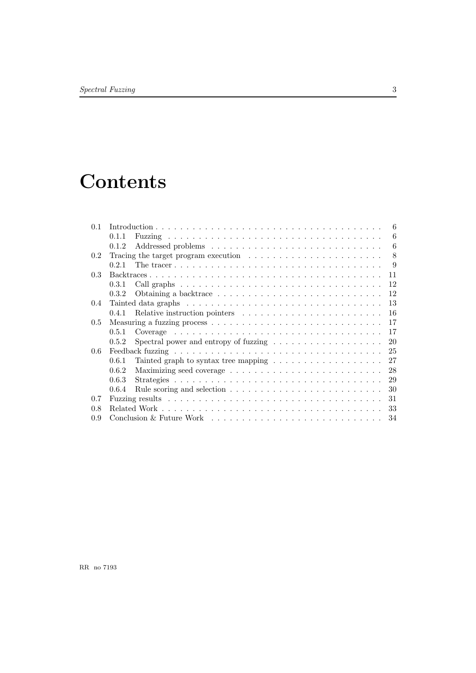# **Contents**

| 0 <sub>1</sub>   |                                                                                         | 6  |
|------------------|-----------------------------------------------------------------------------------------|----|
|                  | 0.1.1                                                                                   | 6  |
|                  | 0.1.2                                                                                   | 6  |
| 0.2              | Tracing the target program execution $\ldots \ldots \ldots \ldots \ldots \ldots \ldots$ | 8  |
|                  | 0.2.1                                                                                   | 9  |
| 0.3 <sup>2</sup> |                                                                                         | 11 |
|                  | 0.3.1                                                                                   | 12 |
|                  | 0.3.2                                                                                   | 12 |
| $0.4^{\circ}$    |                                                                                         | 13 |
|                  | 0.4.1                                                                                   | 16 |
| $0.5^{\circ}$    |                                                                                         | 17 |
|                  | 0.5.1                                                                                   | 17 |
|                  | Spectral power and entropy of fuzzing $\dots \dots \dots \dots \dots \dots$<br>0.5.2    | 20 |
| 0.6              |                                                                                         | 25 |
|                  | 0.6.1<br>Tainted graph to syntax tree mapping $\dots \dots \dots \dots \dots \dots$     | 27 |
|                  | 0.6.2                                                                                   | 28 |
|                  | 0.6.3                                                                                   | 29 |
|                  | 0.6.4                                                                                   | 30 |
| 0.7              |                                                                                         | 31 |
| 0.8              |                                                                                         | 33 |
| 0.9              |                                                                                         | 34 |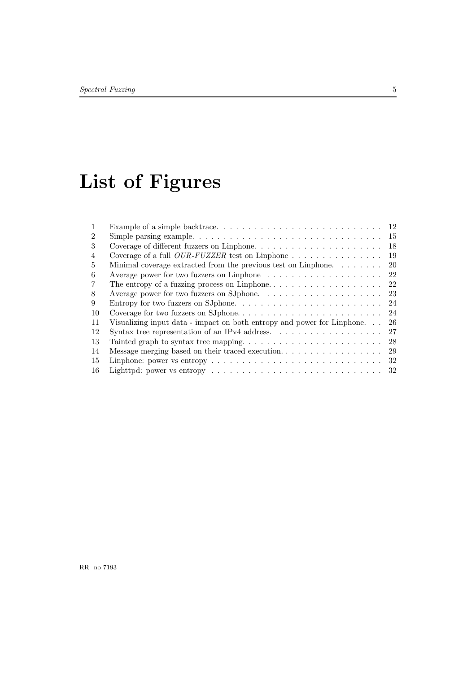# List of Figures

| $\mathcal{D}$  |                                                                                                            | 15  |
|----------------|------------------------------------------------------------------------------------------------------------|-----|
| 3              |                                                                                                            | 18  |
| $\overline{4}$ | Coverage of a full <i>OUR-FUZZER</i> test on Linphone $\ldots \ldots \ldots \ldots \ldots$                 | 19  |
| 5              | Minimal coverage extracted from the previous test on Linphone.                                             | -20 |
| 6              | Average power for two fuzzers on Linphone $\dots \dots \dots \dots \dots \dots \dots \dots$ 22             |     |
| 7              |                                                                                                            |     |
| 8              |                                                                                                            |     |
| 9              |                                                                                                            |     |
| 10             |                                                                                                            |     |
| 11             | Visualizing input data - impact on both entropy and power for Linphone                                     | -26 |
| 12             | Syntax tree representation of an IPv4 address. $\dots \dots \dots \dots \dots \dots$                       | 27  |
| 13             |                                                                                                            | 28  |
| 14             |                                                                                                            |     |
| 15             |                                                                                                            | -32 |
| 16             | Lighttpd: power vs entropy $\dots \dots \dots \dots \dots \dots \dots \dots \dots \dots \dots \dots \dots$ |     |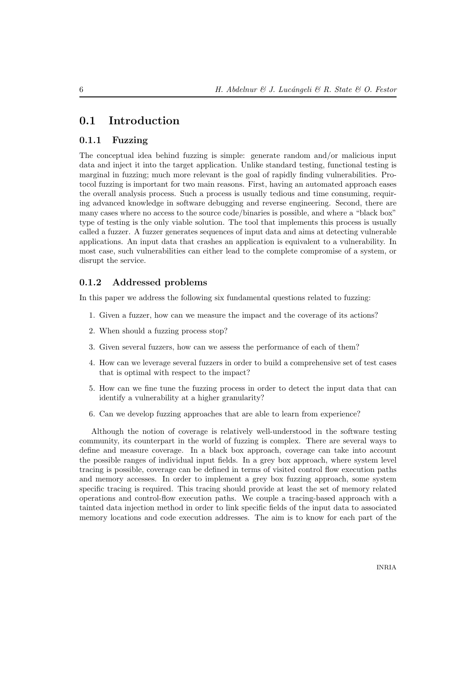#### 0.1 Introduction

#### 0.1.1 Fuzzing

The conceptual idea behind fuzzing is simple: generate random and/or malicious input data and inject it into the target application. Unlike standard testing, functional testing is marginal in fuzzing; much more relevant is the goal of rapidly finding vulnerabilities. Protocol fuzzing is important for two main reasons. First, having an automated approach eases the overall analysis process. Such a process is usually tedious and time consuming, requiring advanced knowledge in software debugging and reverse engineering. Second, there are many cases where no access to the source code/binaries is possible, and where a "black box" type of testing is the only viable solution. The tool that implements this process is usually called a fuzzer. A fuzzer generates sequences of input data and aims at detecting vulnerable applications. An input data that crashes an application is equivalent to a vulnerability. In most case, such vulnerabilities can either lead to the complete compromise of a system, or disrupt the service.

#### 0.1.2 Addressed problems

In this paper we address the following six fundamental questions related to fuzzing:

- 1. Given a fuzzer, how can we measure the impact and the coverage of its actions?
- 2. When should a fuzzing process stop?
- 3. Given several fuzzers, how can we assess the performance of each of them?
- 4. How can we leverage several fuzzers in order to build a comprehensive set of test cases that is optimal with respect to the impact?
- 5. How can we fine tune the fuzzing process in order to detect the input data that can identify a vulnerability at a higher granularity?
- 6. Can we develop fuzzing approaches that are able to learn from experience?

Although the notion of coverage is relatively well-understood in the software testing community, its counterpart in the world of fuzzing is complex. There are several ways to define and measure coverage. In a black box approach, coverage can take into account the possible ranges of individual input fields. In a grey box approach, where system level tracing is possible, coverage can be defined in terms of visited control flow execution paths and memory accesses. In order to implement a grey box fuzzing approach, some system specific tracing is required. This tracing should provide at least the set of memory related operations and control-flow execution paths. We couple a tracing-based approach with a tainted data injection method in order to link specific fields of the input data to associated memory locations and code execution addresses. The aim is to know for each part of the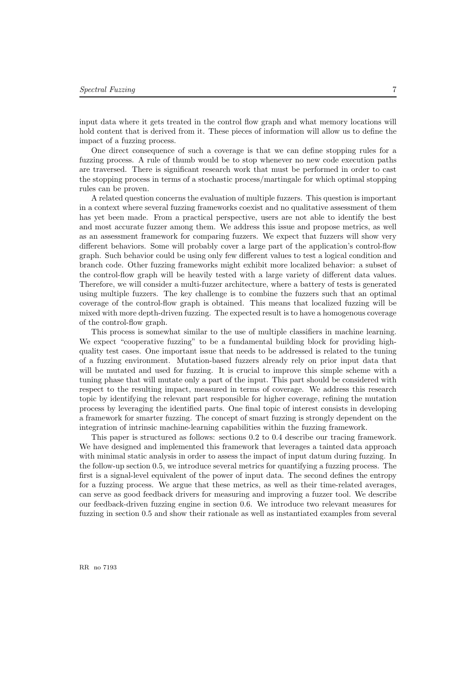input data where it gets treated in the control flow graph and what memory locations will hold content that is derived from it. These pieces of information will allow us to define the impact of a fuzzing process.

One direct consequence of such a coverage is that we can define stopping rules for a fuzzing process. A rule of thumb would be to stop whenever no new code execution paths are traversed. There is significant research work that must be performed in order to cast the stopping process in terms of a stochastic process/martingale for which optimal stopping rules can be proven.

A related question concerns the evaluation of multiple fuzzers. This question is important in a context where several fuzzing frameworks coexist and no qualitative assessment of them has yet been made. From a practical perspective, users are not able to identify the best and most accurate fuzzer among them. We address this issue and propose metrics, as well as an assessment framework for comparing fuzzers. We expect that fuzzers will show very different behaviors. Some will probably cover a large part of the application's control-flow graph. Such behavior could be using only few different values to test a logical condition and branch code. Other fuzzing frameworks might exhibit more localized behavior: a subset of the control-flow graph will be heavily tested with a large variety of different data values. Therefore, we will consider a multi-fuzzer architecture, where a battery of tests is generated using multiple fuzzers. The key challenge is to combine the fuzzers such that an optimal coverage of the control-flow graph is obtained. This means that localized fuzzing will be mixed with more depth-driven fuzzing. The expected result is to have a homogenous coverage of the control-flow graph.

This process is somewhat similar to the use of multiple classifiers in machine learning. We expect "cooperative fuzzing" to be a fundamental building block for providing highquality test cases. One important issue that needs to be addressed is related to the tuning of a fuzzing environment. Mutation-based fuzzers already rely on prior input data that will be mutated and used for fuzzing. It is crucial to improve this simple scheme with a tuning phase that will mutate only a part of the input. This part should be considered with respect to the resulting impact, measured in terms of coverage. We address this research topic by identifying the relevant part responsible for higher coverage, refining the mutation process by leveraging the identified parts. One final topic of interest consists in developing a framework for smarter fuzzing. The concept of smart fuzzing is strongly dependent on the integration of intrinsic machine-learning capabilities within the fuzzing framework.

This paper is structured as follows: sections 0.2 to 0.4 describe our tracing framework. We have designed and implemented this framework that leverages a tainted data approach with minimal static analysis in order to assess the impact of input datum during fuzzing. In the follow-up section 0.5, we introduce several metrics for quantifying a fuzzing process. The first is a signal-level equivalent of the power of input data. The second defines the entropy for a fuzzing process. We argue that these metrics, as well as their time-related averages, can serve as good feedback drivers for measuring and improving a fuzzer tool. We describe our feedback-driven fuzzing engine in section 0.6. We introduce two relevant measures for fuzzing in section 0.5 and show their rationale as well as instantiated examples from several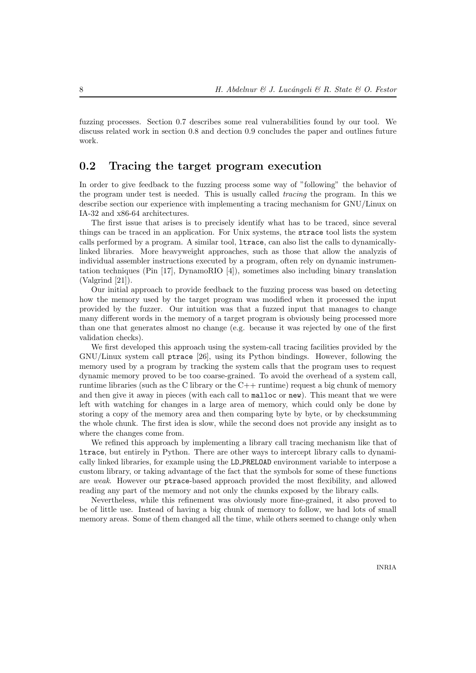fuzzing processes. Section 0.7 describes some real vulnerabilities found by our tool. We discuss related work in section 0.8 and dection 0.9 concludes the paper and outlines future work.

#### 0.2 Tracing the target program execution

In order to give feedback to the fuzzing process some way of "following" the behavior of the program under test is needed. This is usually called tracing the program. In this we describe section our experience with implementing a tracing mechanism for GNU/Linux on IA-32 and x86-64 architectures.

The first issue that arises is to precisely identify what has to be traced, since several things can be traced in an application. For Unix systems, the strace tool lists the system calls performed by a program. A similar tool, ltrace, can also list the calls to dynamicallylinked libraries. More heavyweight approaches, such as those that allow the analyzis of individual assembler instructions executed by a program, often rely on dynamic instrumentation techniques (Pin [17], DynamoRIO [4]), sometimes also including binary translation (Valgrind [21]).

Our initial approach to provide feedback to the fuzzing process was based on detecting how the memory used by the target program was modified when it processed the input provided by the fuzzer. Our intuition was that a fuzzed input that manages to change many different words in the memory of a target program is obviously being processed more than one that generates almost no change (e.g. because it was rejected by one of the first validation checks).

We first developed this approach using the system-call tracing facilities provided by the GNU/Linux system call ptrace [26], using its Python bindings. However, following the memory used by a program by tracking the system calls that the program uses to request dynamic memory proved to be too coarse-grained. To avoid the overhead of a system call, runtime libraries (such as the C library or the  $C++$  runtime) request a big chunk of memory and then give it away in pieces (with each call to malloc or new). This meant that we were left with watching for changes in a large area of memory, which could only be done by storing a copy of the memory area and then comparing byte by byte, or by checksumming the whole chunk. The first idea is slow, while the second does not provide any insight as to where the changes come from.

We refined this approach by implementing a library call tracing mechanism like that of ltrace, but entirely in Python. There are other ways to intercept library calls to dynamically linked libraries, for example using the LD PRELOAD environment variable to interpose a custom library, or taking advantage of the fact that the symbols for some of these functions are weak. However our ptrace-based approach provided the most flexibility, and allowed reading any part of the memory and not only the chunks exposed by the library calls.

Nevertheless, while this refinement was obviously more fine-grained, it also proved to be of little use. Instead of having a big chunk of memory to follow, we had lots of small memory areas. Some of them changed all the time, while others seemed to change only when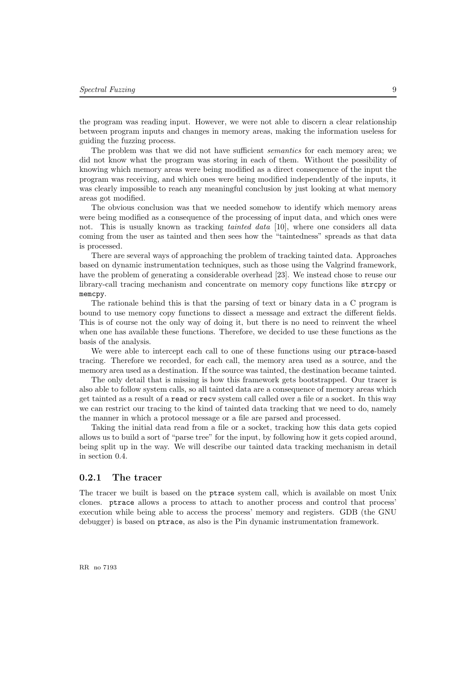the program was reading input. However, we were not able to discern a clear relationship between program inputs and changes in memory areas, making the information useless for guiding the fuzzing process.

The problem was that we did not have sufficient *semantics* for each memory area; we did not know what the program was storing in each of them. Without the possibility of knowing which memory areas were being modified as a direct consequence of the input the program was receiving, and which ones were being modified independently of the inputs, it was clearly impossible to reach any meaningful conclusion by just looking at what memory areas got modified.

The obvious conclusion was that we needed somehow to identify which memory areas were being modified as a consequence of the processing of input data, and which ones were not. This is usually known as tracking *tainted data* [10], where one considers all data coming from the user as tainted and then sees how the "taintedness" spreads as that data is processed.

There are several ways of approaching the problem of tracking tainted data. Approaches based on dynamic instrumentation techniques, such as those using the Valgrind framework, have the problem of generating a considerable overhead [23]. We instead chose to reuse our library-call tracing mechanism and concentrate on memory copy functions like strcpy or memcpy.

The rationale behind this is that the parsing of text or binary data in a C program is bound to use memory copy functions to dissect a message and extract the different fields. This is of course not the only way of doing it, but there is no need to reinvent the wheel when one has available these functions. Therefore, we decided to use these functions as the basis of the analysis.

We were able to intercept each call to one of these functions using our ptrace-based tracing. Therefore we recorded, for each call, the memory area used as a source, and the memory area used as a destination. If the source was tainted, the destination became tainted.

The only detail that is missing is how this framework gets bootstrapped. Our tracer is also able to follow system calls, so all tainted data are a consequence of memory areas which get tainted as a result of a read or recv system call called over a file or a socket. In this way we can restrict our tracing to the kind of tainted data tracking that we need to do, namely the manner in which a protocol message or a file are parsed and processed.

Taking the initial data read from a file or a socket, tracking how this data gets copied allows us to build a sort of "parse tree" for the input, by following how it gets copied around, being split up in the way. We will describe our tainted data tracking mechanism in detail in section 0.4.

#### 0.2.1 The tracer

The tracer we built is based on the ptrace system call, which is available on most Unix clones. ptrace allows a process to attach to another process and control that process' execution while being able to access the process' memory and registers. GDB (the GNU debugger) is based on ptrace, as also is the Pin dynamic instrumentation framework.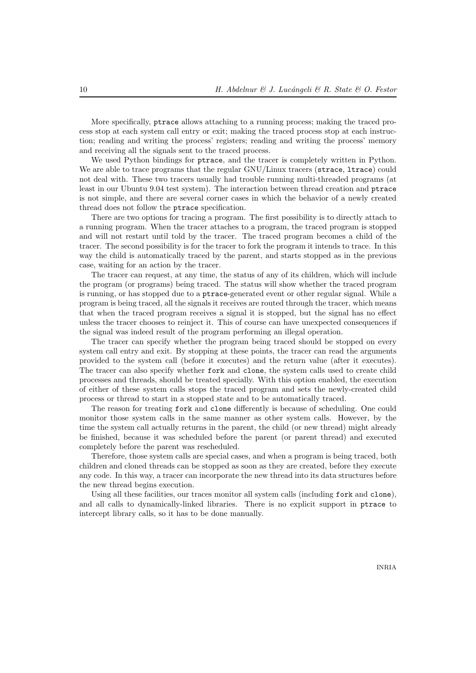More specifically, ptrace allows attaching to a running process; making the traced process stop at each system call entry or exit; making the traced process stop at each instruction; reading and writing the process' registers; reading and writing the process' memory and receiving all the signals sent to the traced process.

We used Python bindings for ptrace, and the tracer is completely written in Python. We are able to trace programs that the regular GNU/Linux tracers (strace, ltrace) could not deal with. These two tracers usually had trouble running multi-threaded programs (at least in our Ubuntu 9.04 test system). The interaction between thread creation and ptrace is not simple, and there are several corner cases in which the behavior of a newly created thread does not follow the ptrace specification.

There are two options for tracing a program. The first possibility is to directly attach to a running program. When the tracer attaches to a program, the traced program is stopped and will not restart until told by the tracer. The traced program becomes a child of the tracer. The second possibility is for the tracer to fork the program it intends to trace. In this way the child is automatically traced by the parent, and starts stopped as in the previous case, waiting for an action by the tracer.

The tracer can request, at any time, the status of any of its children, which will include the program (or programs) being traced. The status will show whether the traced program is running, or has stopped due to a ptrace-generated event or other regular signal. While a program is being traced, all the signals it receives are routed through the tracer, which means that when the traced program receives a signal it is stopped, but the signal has no effect unless the tracer chooses to reinject it. This of course can have unexpected consequences if the signal was indeed result of the program performing an illegal operation.

The tracer can specify whether the program being traced should be stopped on every system call entry and exit. By stopping at these points, the tracer can read the arguments provided to the system call (before it executes) and the return value (after it executes). The tracer can also specify whether fork and clone, the system calls used to create child processes and threads, should be treated specially. With this option enabled, the execution of either of these system calls stops the traced program and sets the newly-created child process or thread to start in a stopped state and to be automatically traced.

The reason for treating fork and clone differently is because of scheduling. One could monitor those system calls in the same manner as other system calls. However, by the time the system call actually returns in the parent, the child (or new thread) might already be finished, because it was scheduled before the parent (or parent thread) and executed completely before the parent was rescheduled.

Therefore, those system calls are special cases, and when a program is being traced, both children and cloned threads can be stopped as soon as they are created, before they execute any code. In this way, a tracer can incorporate the new thread into its data structures before the new thread begins execution.

Using all these facilities, our traces monitor all system calls (including fork and clone), and all calls to dynamically-linked libraries. There is no explicit support in ptrace to intercept library calls, so it has to be done manually.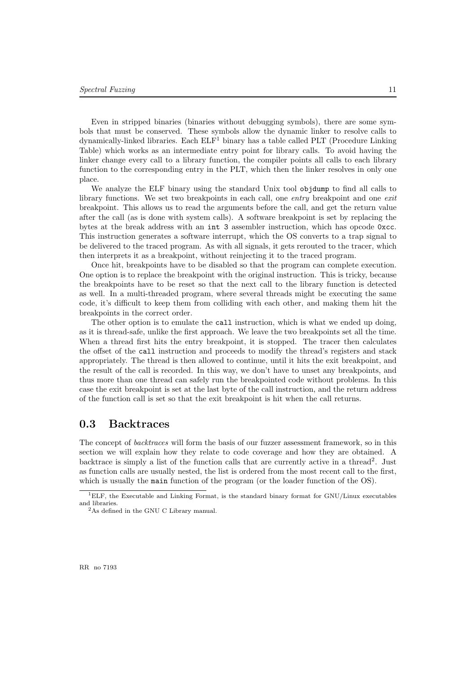Even in stripped binaries (binaries without debugging symbols), there are some symbols that must be conserved. These symbols allow the dynamic linker to resolve calls to  $d$ ynamically-linked libraries. Each  $ELF<sup>1</sup>$  binary has a table called PLT (Procedure Linking Table) which works as an intermediate entry point for library calls. To avoid having the linker change every call to a library function, the compiler points all calls to each library function to the corresponding entry in the PLT, which then the linker resolves in only one place.

We analyze the ELF binary using the standard Unix tool objdump to find all calls to library functions. We set two breakpoints in each call, one entry breakpoint and one exit breakpoint. This allows us to read the arguments before the call, and get the return value after the call (as is done with system calls). A software breakpoint is set by replacing the bytes at the break address with an int 3 assembler instruction, which has opcode 0xcc. This instruction generates a software interrupt, which the OS converts to a trap signal to be delivered to the traced program. As with all signals, it gets rerouted to the tracer, which then interprets it as a breakpoint, without reinjecting it to the traced program.

Once hit, breakpoints have to be disabled so that the program can complete execution. One option is to replace the breakpoint with the original instruction. This is tricky, because the breakpoints have to be reset so that the next call to the library function is detected as well. In a multi-threaded program, where several threads might be executing the same code, it's difficult to keep them from colliding with each other, and making them hit the breakpoints in the correct order.

The other option is to emulate the call instruction, which is what we ended up doing, as it is thread-safe, unlike the first approach. We leave the two breakpoints set all the time. When a thread first hits the entry breakpoint, it is stopped. The tracer then calculates the offset of the call instruction and proceeds to modify the thread's registers and stack appropriately. The thread is then allowed to continue, until it hits the exit breakpoint, and the result of the call is recorded. In this way, we don't have to unset any breakpoints, and thus more than one thread can safely run the breakpointed code without problems. In this case the exit breakpoint is set at the last byte of the call instruction, and the return address of the function call is set so that the exit breakpoint is hit when the call returns.

#### 0.3 Backtraces

The concept of backtraces will form the basis of our fuzzer assessment framework, so in this section we will explain how they relate to code coverage and how they are obtained. A backtrace is simply a list of the function calls that are currently active in a thread<sup>2</sup>. Just as function calls are usually nested, the list is ordered from the most recent call to the first, which is usually the main function of the program (or the loader function of the OS).

<sup>1</sup>ELF, the Executable and Linking Format, is the standard binary format for GNU/Linux executables and libraries.

<sup>2</sup>As defined in the GNU C Library manual.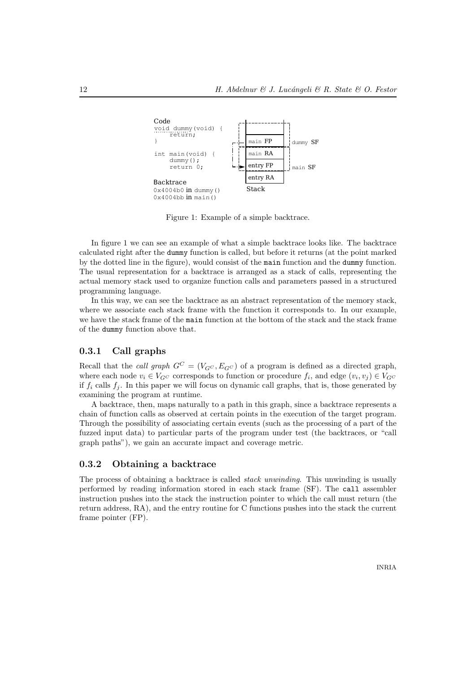

Figure 1: Example of a simple backtrace.

In figure 1 we can see an example of what a simple backtrace looks like. The backtrace calculated right after the dummy function is called, but before it returns (at the point marked by the dotted line in the figure), would consist of the main function and the dummy function. The usual representation for a backtrace is arranged as a stack of calls, representing the actual memory stack used to organize function calls and parameters passed in a structured programming language.

In this way, we can see the backtrace as an abstract representation of the memory stack, where we associate each stack frame with the function it corresponds to. In our example, we have the stack frame of the main function at the bottom of the stack and the stack frame of the dummy function above that.

#### 0.3.1 Call graphs

Recall that the *call graph*  $G^C = (V_{G^C}, E_{G^C})$  of a program is defined as a directed graph, where each node  $v_i \in V_{G}$  corresponds to function or procedure  $f_i$ , and edge  $(v_i, v_j) \in V_{G}$ if  $f_i$  calls  $f_i$ . In this paper we will focus on dynamic call graphs, that is, those generated by examining the program at runtime.

A backtrace, then, maps naturally to a path in this graph, since a backtrace represents a chain of function calls as observed at certain points in the execution of the target program. Through the possibility of associating certain events (such as the processing of a part of the fuzzed input data) to particular parts of the program under test (the backtraces, or "call graph paths"), we gain an accurate impact and coverage metric.

#### 0.3.2 Obtaining a backtrace

The process of obtaining a backtrace is called *stack unwinding*. This unwinding is usually performed by reading information stored in each stack frame (SF). The call assembler instruction pushes into the stack the instruction pointer to which the call must return (the return address, RA), and the entry routine for C functions pushes into the stack the current frame pointer (FP).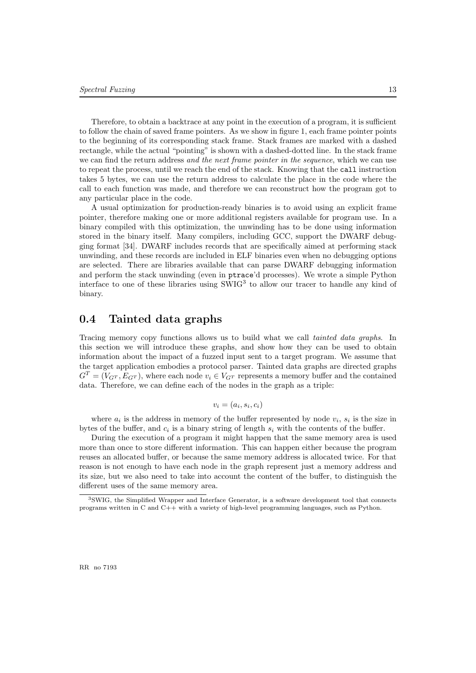Therefore, to obtain a backtrace at any point in the execution of a program, it is sufficient to follow the chain of saved frame pointers. As we show in figure 1, each frame pointer points to the beginning of its corresponding stack frame. Stack frames are marked with a dashed rectangle, while the actual "pointing" is shown with a dashed-dotted line. In the stack frame we can find the return address and the next frame pointer in the sequence, which we can use to repeat the process, until we reach the end of the stack. Knowing that the call instruction takes 5 bytes, we can use the return address to calculate the place in the code where the call to each function was made, and therefore we can reconstruct how the program got to any particular place in the code.

A usual optimization for production-ready binaries is to avoid using an explicit frame pointer, therefore making one or more additional registers available for program use. In a binary compiled with this optimization, the unwinding has to be done using information stored in the binary itself. Many compilers, including GCC, support the DWARF debugging format [34]. DWARF includes records that are specifically aimed at performing stack unwinding, and these records are included in ELF binaries even when no debugging options are selected. There are libraries available that can parse DWARF debugging information and perform the stack unwinding (even in ptrace'd processes). We wrote a simple Python interface to one of these libraries using SWIG<sup>3</sup> to allow our tracer to handle any kind of binary.

#### 0.4 Tainted data graphs

Tracing memory copy functions allows us to build what we call *tainted data graphs*. In this section we will introduce these graphs, and show how they can be used to obtain information about the impact of a fuzzed input sent to a target program. We assume that the target application embodies a protocol parser. Tainted data graphs are directed graphs  $G<sup>T</sup> = (V<sub>G<sup>T</sup></sub>, E<sub>G<sup>T</sup></sub>)$ , where each node  $v<sub>i</sub> \in V<sub>G<sup>T</sup></sub>$  represents a memory buffer and the contained data. Therefore, we can define each of the nodes in the graph as a triple:

$$
v_i = (a_i, s_i, c_i)
$$

where  $a_i$  is the address in memory of the buffer represented by node  $v_i$ ,  $s_i$  is the size in bytes of the buffer, and  $c_i$  is a binary string of length  $s_i$  with the contents of the buffer.

During the execution of a program it might happen that the same memory area is used more than once to store different information. This can happen either because the program reuses an allocated buffer, or because the same memory address is allocated twice. For that reason is not enough to have each node in the graph represent just a memory address and its size, but we also need to take into account the content of the buffer, to distinguish the different uses of the same memory area.

<sup>3</sup>SWIG, the Simplified Wrapper and Interface Generator, is a software development tool that connects programs written in C and C++ with a variety of high-level programming languages, such as Python.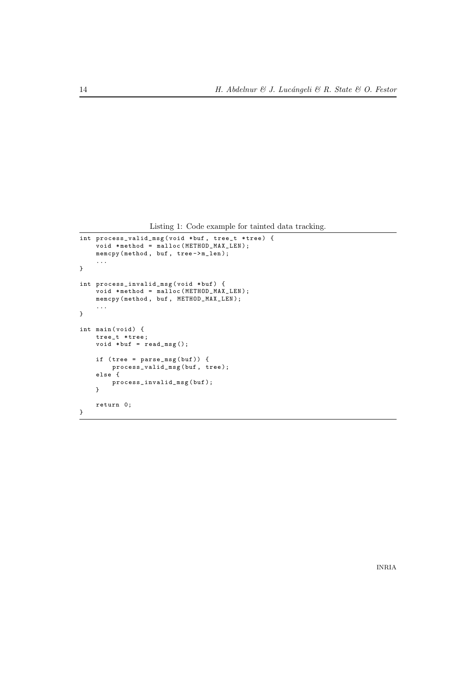Listing 1: Code example for tainted data tracking.

```
int process_valid_msg ( void * buf , tree_t * tree ) {
    void * method = malloc ( METHOD_MAX_LEN );
    memcpy ( method , buf , tree -> m_len );
    ...
}
int process_invalid_msg ( void * buf ) {
    void * method = malloc ( METHOD_MAX_LEN );
    memcpy ( method , buf , METHOD_MAX_LEN );
    ...
}
int main (void) {
    tree_t * tree ;
    void *buf = read_msg();
    if ( tree = parse_msg ( buf )) {
         process_valid_msg ( buf , tree );
    else {
        process_invalid_msg ( buf );
    }
    return 0;
}
```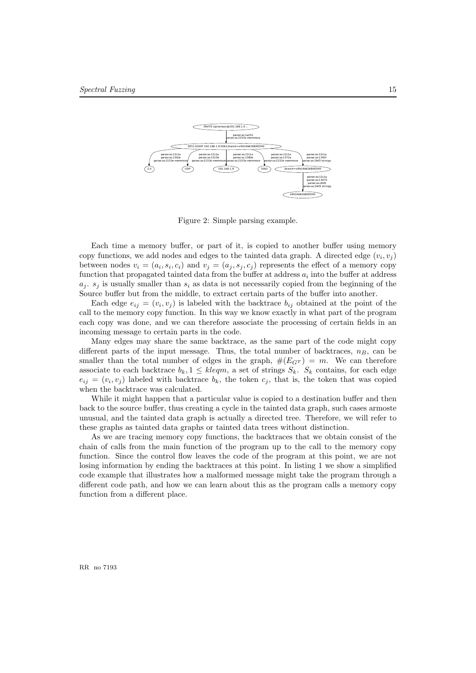

Figure 2: Simple parsing example.

Each time a memory buffer, or part of it, is copied to another buffer using memory copy functions, we add nodes and edges to the tainted data graph. A directed edge  $(v_i, v_j)$ between nodes  $v_i = (a_i, s_i, c_i)$  and  $v_j = (a_j, s_j, c_j)$  represents the effect of a memory copy function that propagated tainted data from the buffer at address  $a_i$  into the buffer at address  $a_i$ .  $s_i$  is usually smaller than  $s_i$  as data is not necessarily copied from the beginning of the Source buffer but from the middle, to extract certain parts of the buffer into another.

Each edge  $e_{ij} = (v_i, v_j)$  is labeled with the backtrace  $b_{ij}$  obtained at the point of the call to the memory copy function. In this way we know exactly in what part of the program each copy was done, and we can therefore associate the processing of certain fields in an incoming message to certain parts in the code.

Many edges may share the same backtrace, as the same part of the code might copy different parts of the input message. Thus, the total number of backtraces,  $n_B$ , can be smaller than the total number of edges in the graph,  $\#(E_{G}T) = m$ . We can therefore associate to each backtrace  $b_k$ ,  $1 \leq k \leq m$ , a set of strings  $S_k$ .  $S_k$  contains, for each edge  $e_{ij} = (v_i, v_j)$  labeled with backtrace  $b_k$ , the token  $c_j$ , that is, the token that was copied when the backtrace was calculated.

While it might happen that a particular value is copied to a destination buffer and then back to the source buffer, thus creating a cycle in the tainted data graph, such cases armoste unusual, and the tainted data graph is actually a directed tree. Therefore, we will refer to these graphs as tainted data graphs or tainted data trees without distinction.

As we are tracing memory copy functions, the backtraces that we obtain consist of the chain of calls from the main function of the program up to the call to the memory copy function. Since the control flow leaves the code of the program at this point, we are not losing information by ending the backtraces at this point. In listing 1 we show a simplified code example that illustrates how a malformed message might take the program through a different code path, and how we can learn about this as the program calls a memory copy function from a different place.

RR no 7193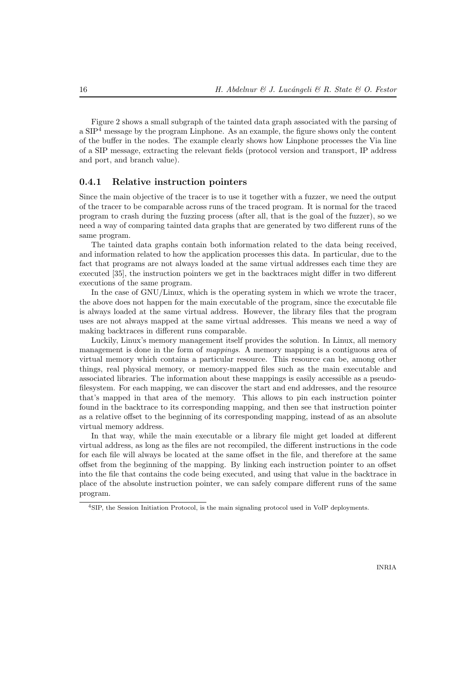Figure 2 shows a small subgraph of the tainted data graph associated with the parsing of a  $SIP<sup>4</sup>$  message by the program Linphone. As an example, the figure shows only the content of the buffer in the nodes. The example clearly shows how Linphone processes the Via line of a SIP message, extracting the relevant fields (protocol version and transport, IP address and port, and branch value).

#### 0.4.1 Relative instruction pointers

Since the main objective of the tracer is to use it together with a fuzzer, we need the output of the tracer to be comparable across runs of the traced program. It is normal for the traced program to crash during the fuzzing process (after all, that is the goal of the fuzzer), so we need a way of comparing tainted data graphs that are generated by two different runs of the same program.

The tainted data graphs contain both information related to the data being received, and information related to how the application processes this data. In particular, due to the fact that programs are not always loaded at the same virtual addresses each time they are executed [35], the instruction pointers we get in the backtraces might differ in two different executions of the same program.

In the case of GNU/Linux, which is the operating system in which we wrote the tracer, the above does not happen for the main executable of the program, since the executable file is always loaded at the same virtual address. However, the library files that the program uses are not always mapped at the same virtual addresses. This means we need a way of making backtraces in different runs comparable.

Luckily, Linux's memory management itself provides the solution. In Linux, all memory management is done in the form of *mappings*. A memory mapping is a contiguous area of virtual memory which contains a particular resource. This resource can be, among other things, real physical memory, or memory-mapped files such as the main executable and associated libraries. The information about these mappings is easily accessible as a pseudofilesystem. For each mapping, we can discover the start and end addresses, and the resource that's mapped in that area of the memory. This allows to pin each instruction pointer found in the backtrace to its corresponding mapping, and then see that instruction pointer as a relative offset to the beginning of its corresponding mapping, instead of as an absolute virtual memory address.

In that way, while the main executable or a library file might get loaded at different virtual address, as long as the files are not recompiled, the different instructions in the code for each file will always be located at the same offset in the file, and therefore at the same offset from the beginning of the mapping. By linking each instruction pointer to an offset into the file that contains the code being executed, and using that value in the backtrace in place of the absolute instruction pointer, we can safely compare different runs of the same program.

<sup>4</sup>SIP, the Session Initiation Protocol, is the main signaling protocol used in VoIP deployments.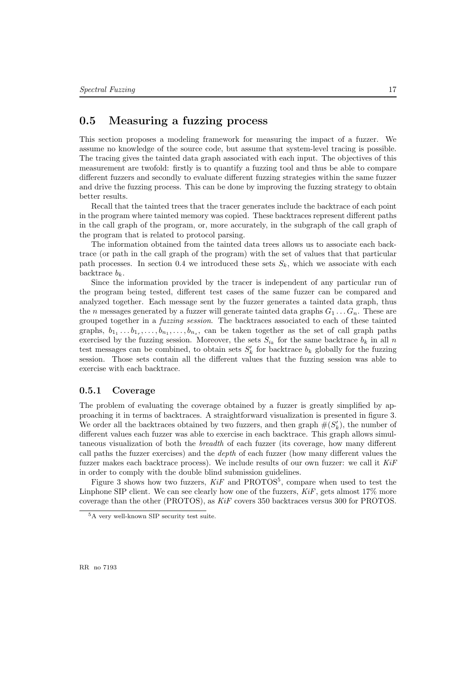#### 0.5 Measuring a fuzzing process

This section proposes a modeling framework for measuring the impact of a fuzzer. We assume no knowledge of the source code, but assume that system-level tracing is possible. The tracing gives the tainted data graph associated with each input. The objectives of this measurement are twofold: firstly is to quantify a fuzzing tool and thus be able to compare different fuzzers and secondly to evaluate different fuzzing strategies within the same fuzzer and drive the fuzzing process. This can be done by improving the fuzzing strategy to obtain better results.

Recall that the tainted trees that the tracer generates include the backtrace of each point in the program where tainted memory was copied. These backtraces represent different paths in the call graph of the program, or, more accurately, in the subgraph of the call graph of the program that is related to protocol parsing.

The information obtained from the tainted data trees allows us to associate each backtrace (or path in the call graph of the program) with the set of values that that particular path processes. In section 0.4 we introduced these sets  $S_k$ , which we associate with each backtrace  $b_k$ .

Since the information provided by the tracer is independent of any particular run of the program being tested, different test cases of the same fuzzer can be compared and analyzed together. Each message sent by the fuzzer generates a tainted data graph, thus the n messages generated by a fuzzer will generate tainted data graphs  $G_1 \ldots G_n$ . These are grouped together in a fuzzing session. The backtraces associated to each of these tainted graphs,  $b_{1_1} \ldots b_{1_r}, \ldots, b_{n_1}, \ldots, b_{n_s}$ , can be taken together as the set of call graph paths exercised by the fuzzing session. Moreover, the sets  $S_{i_k}$  for the same backtrace  $b_k$  in all n test messages can be combined, to obtain sets  $S'_{k}$  for backtrace  $b_{k}$  globally for the fuzzing session. Those sets contain all the different values that the fuzzing session was able to exercise with each backtrace.

#### 0.5.1 Coverage

The problem of evaluating the coverage obtained by a fuzzer is greatly simplified by approaching it in terms of backtraces. A straightforward visualization is presented in figure 3. We order all the backtraces obtained by two fuzzers, and then graph  $\#(S'_k)$ , the number of different values each fuzzer was able to exercise in each backtrace. This graph allows simultaneous visualization of both the breadth of each fuzzer (its coverage, how many different call paths the fuzzer exercises) and the depth of each fuzzer (how many different values the fuzzer makes each backtrace process). We include results of our own fuzzer: we call it  $KiF$ in order to comply with the double blind submission guidelines.

Figure 3 shows how two fuzzers,  $KiF$  and  $PROTOS<sup>5</sup>$ , compare when used to test the Linphone SIP client. We can see clearly how one of the fuzzers,  $KiF$ , gets almost 17% more coverage than the other (PROTOS), as KiF covers 350 backtraces versus 300 for PROTOS.

<sup>5</sup>A very well-known SIP security test suite.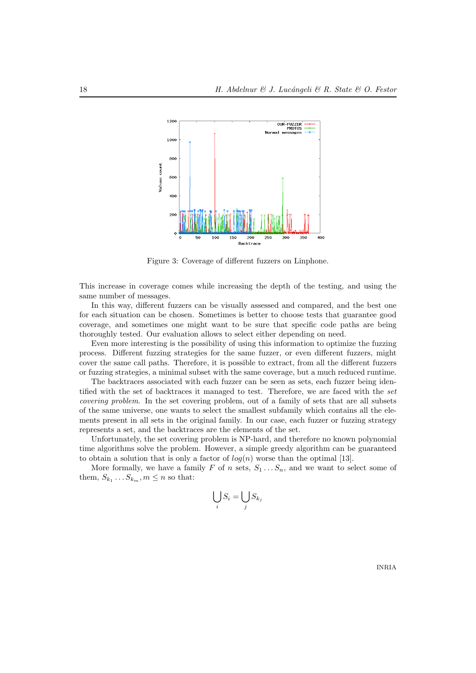

Figure 3: Coverage of different fuzzers on Linphone.

This increase in coverage comes while increasing the depth of the testing, and using the same number of messages.

In this way, different fuzzers can be visually assessed and compared, and the best one for each situation can be chosen. Sometimes is better to choose tests that guarantee good coverage, and sometimes one might want to be sure that specific code paths are being thoroughly tested. Our evaluation allows to select either depending on need.

Even more interesting is the possibility of using this information to optimize the fuzzing process. Different fuzzing strategies for the same fuzzer, or even different fuzzers, might cover the same call paths. Therefore, it is possible to extract, from all the different fuzzers or fuzzing strategies, a minimal subset with the same coverage, but a much reduced runtime.

The backtraces associated with each fuzzer can be seen as sets, each fuzzer being identified with the set of backtraces it managed to test. Therefore, we are faced with the set covering problem. In the set covering problem, out of a family of sets that are all subsets of the same universe, one wants to select the smallest subfamily which contains all the elements present in all sets in the original family. In our case, each fuzzer or fuzzing strategy represents a set, and the backtraces are the elements of the set.

Unfortunately, the set covering problem is NP-hard, and therefore no known polynomial time algorithms solve the problem. However, a simple greedy algorithm can be guaranteed to obtain a solution that is only a factor of  $log(n)$  worse than the optimal [13].

More formally, we have a family F of n sets,  $S_1 \ldots S_n$ , and we want to select some of them,  $S_{k_1} \dots S_{k_m}$ ,  $m \leq n$  so that:

$$
\bigcup_i S_i = \bigcup_j S_{k_j}
$$

INRIA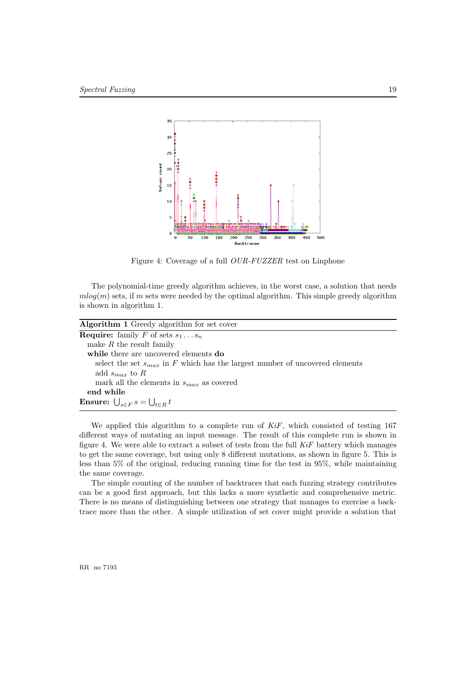

Figure 4: Coverage of a full OUR-FUZZER test on Linphone

The polynomial-time greedy algorithm achieves, in the worst case, a solution that needs  $mlog(m)$  sets, if m sets were needed by the optimal algorithm. This simple greedy algorithm is shown in algorithm 1.

| Algorithm 1 Greedy algorithm for set cover                                       |
|----------------------------------------------------------------------------------|
| <b>Require:</b> family F of sets $s_1 \tldots s_n$                               |
| make $R$ the result family                                                       |
| while there are uncovered elements do                                            |
| select the set $s_{max}$ in F which has the largest number of uncovered elements |
| add $s_{max}$ to R                                                               |
| mark all the elements in $s_{max}$ as covered                                    |
| end while                                                                        |
| <b>Ensure:</b> $\bigcup_{s \in F} s = \bigcup_{t \in R} t$                       |
|                                                                                  |

We applied this algorithm to a complete run of  $KiF$ , which consisted of testing 167 different ways of mutating an input message. The result of this complete run is shown in figure 4. We were able to extract a subset of tests from the full  $KiF$  battery which manages to get the same coverage, but using only 8 different mutations, as shown in figure 5. This is less than 5% of the original, reducing running time for the test in 95%, while maintaining the same coverage.

The simple counting of the number of backtraces that each fuzzing strategy contributes can be a good first approach, but this lacks a more synthetic and comprehensive metric. There is no means of distinguishing between one strategy that manages to exercise a backtrace more than the other. A simple utilization of set cover might provide a solution that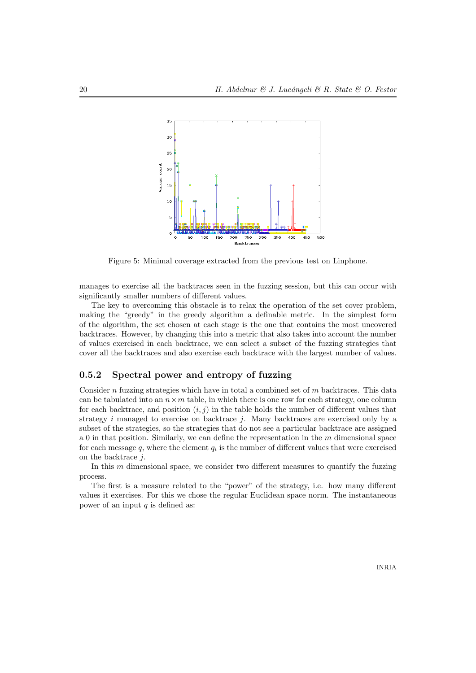

Figure 5: Minimal coverage extracted from the previous test on Linphone.

manages to exercise all the backtraces seen in the fuzzing session, but this can occur with significantly smaller numbers of different values.

The key to overcoming this obstacle is to relax the operation of the set cover problem, making the "greedy" in the greedy algorithm a definable metric. In the simplest form of the algorithm, the set chosen at each stage is the one that contains the most uncovered backtraces. However, by changing this into a metric that also takes into account the number of values exercised in each backtrace, we can select a subset of the fuzzing strategies that cover all the backtraces and also exercise each backtrace with the largest number of values.

#### 0.5.2 Spectral power and entropy of fuzzing

Consider n fuzzing strategies which have in total a combined set of  $m$  backtraces. This data can be tabulated into an  $n \times m$  table, in which there is one row for each strategy, one column for each backtrace, and position  $(i, j)$  in the table holds the number of different values that strategy  $i$  managed to exercise on backtrace  $j$ . Many backtraces are exercised only by a subset of the strategies, so the strategies that do not see a particular backtrace are assigned a 0 in that position. Similarly, we can define the representation in the  $m$  dimensional space for each message  $q$ , where the element  $q_i$  is the number of different values that were exercised on the backtrace j.

In this  $m$  dimensional space, we consider two different measures to quantify the fuzzing process.

The first is a measure related to the "power" of the strategy, i.e. how many different values it exercises. For this we chose the regular Euclidean space norm. The instantaneous power of an input  $q$  is defined as: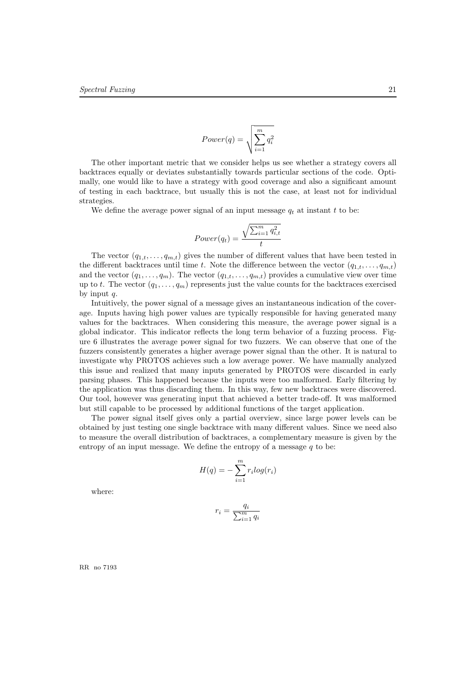$$
Power(q) = \sqrt{\sum_{i=1}^{m} q_i^2}
$$

The other important metric that we consider helps us see whether a strategy covers all backtraces equally or deviates substantially towards particular sections of the code. Optimally, one would like to have a strategy with good coverage and also a significant amount of testing in each backtrace, but usually this is not the case, at least not for individual strategies.

We define the average power signal of an input message  $q_t$  at instant t to be:

$$
Power(q_t) = \frac{\sqrt{\sum_{i=1}^{m} q_{i,t}^2}}{t}
$$

The vector  $(q_{1,t}, \ldots, q_{m,t})$  gives the number of different values that have been tested in the different backtraces until time t. Note the difference between the vector  $(q_{1,t}, \ldots, q_{m,t})$ and the vector  $(q_1, \ldots, q_m)$ . The vector  $(q_{1,t}, \ldots, q_{m,t})$  provides a cumulative view over time up to t. The vector  $(q_1, \ldots, q_m)$  represents just the value counts for the backtraces exercised by input  $q$ .

Intuitively, the power signal of a message gives an instantaneous indication of the coverage. Inputs having high power values are typically responsible for having generated many values for the backtraces. When considering this measure, the average power signal is a global indicator. This indicator reflects the long term behavior of a fuzzing process. Figure 6 illustrates the average power signal for two fuzzers. We can observe that one of the fuzzers consistently generates a higher average power signal than the other. It is natural to investigate why PROTOS achieves such a low average power. We have manually analyzed this issue and realized that many inputs generated by PROTOS were discarded in early parsing phases. This happened because the inputs were too malformed. Early filtering by the application was thus discarding them. In this way, few new backtraces were discovered. Our tool, however was generating input that achieved a better trade-off. It was malformed but still capable to be processed by additional functions of the target application.

The power signal itself gives only a partial overview, since large power levels can be obtained by just testing one single backtrace with many different values. Since we need also to measure the overall distribution of backtraces, a complementary measure is given by the entropy of an input message. We define the entropy of a message  $q$  to be:

$$
H(q) = -\sum_{i=1}^{m} r_i \log(r_i)
$$

where:

$$
r_i = \frac{q_i}{\sum_{i=1}^m q_i}
$$

RR no 7193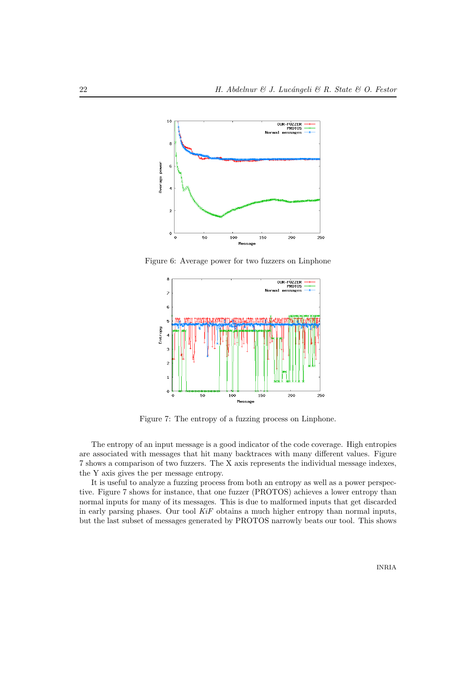

Figure 6: Average power for two fuzzers on Linphone



Figure 7: The entropy of a fuzzing process on Linphone.

The entropy of an input message is a good indicator of the code coverage. High entropies are associated with messages that hit many backtraces with many different values. Figure 7 shows a comparison of two fuzzers. The X axis represents the individual message indexes, the Y axis gives the per message entropy.

It is useful to analyze a fuzzing process from both an entropy as well as a power perspective. Figure 7 shows for instance, that one fuzzer (PROTOS) achieves a lower entropy than normal inputs for many of its messages. This is due to malformed inputs that get discarded in early parsing phases. Our tool  $KiF$  obtains a much higher entropy than normal inputs, but the last subset of messages generated by PROTOS narrowly beats our tool. This shows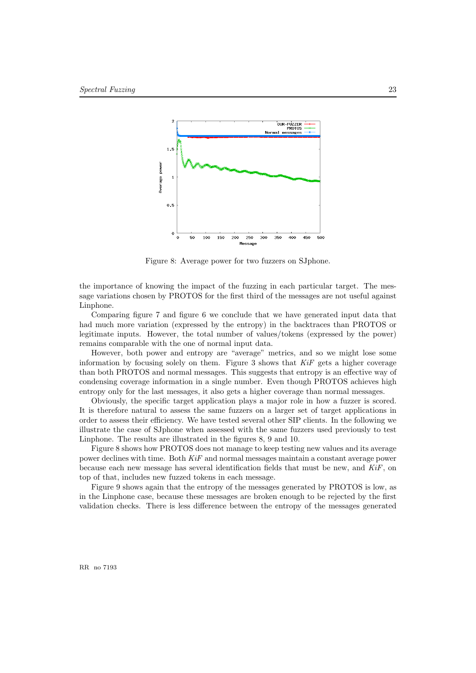

Figure 8: Average power for two fuzzers on SJphone.

the importance of knowing the impact of the fuzzing in each particular target. The message variations chosen by PROTOS for the first third of the messages are not useful against Linphone.

Comparing figure 7 and figure 6 we conclude that we have generated input data that had much more variation (expressed by the entropy) in the backtraces than PROTOS or legitimate inputs. However, the total number of values/tokens (expressed by the power) remains comparable with the one of normal input data.

However, both power and entropy are "average" metrics, and so we might lose some information by focusing solely on them. Figure 3 shows that  $KiF$  gets a higher coverage than both PROTOS and normal messages. This suggests that entropy is an effective way of condensing coverage information in a single number. Even though PROTOS achieves high entropy only for the last messages, it also gets a higher coverage than normal messages.

Obviously, the specific target application plays a major role in how a fuzzer is scored. It is therefore natural to assess the same fuzzers on a larger set of target applications in order to assess their efficiency. We have tested several other SIP clients. In the following we illustrate the case of SJphone when assessed with the same fuzzers used previously to test Linphone. The results are illustrated in the figures 8, 9 and 10.

Figure 8 shows how PROTOS does not manage to keep testing new values and its average power declines with time. Both KiF and normal messages maintain a constant average power because each new message has several identification fields that must be new, and  $KiF$ , on top of that, includes new fuzzed tokens in each message.

Figure 9 shows again that the entropy of the messages generated by PROTOS is low, as in the Linphone case, because these messages are broken enough to be rejected by the first validation checks. There is less difference between the entropy of the messages generated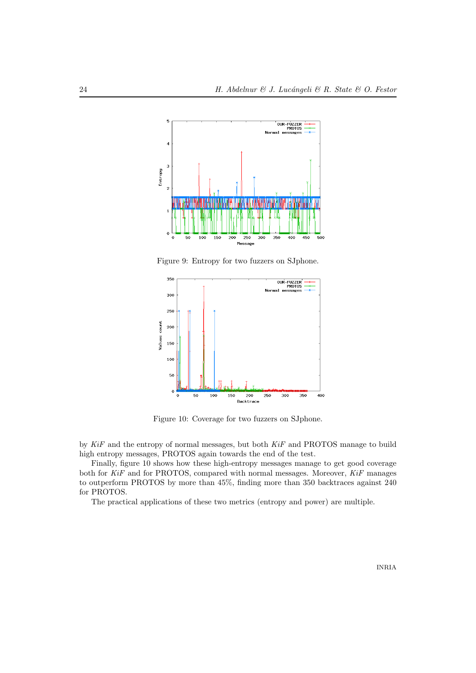

Figure 9: Entropy for two fuzzers on SJphone.



Figure 10: Coverage for two fuzzers on SJphone.

by KiF and the entropy of normal messages, but both KiF and PROTOS manage to build high entropy messages, PROTOS again towards the end of the test.

Finally, figure 10 shows how these high-entropy messages manage to get good coverage both for KiF and for PROTOS, compared with normal messages. Moreover, KiF manages to outperform PROTOS by more than 45%, finding more than 350 backtraces against 240 for PROTOS.

The practical applications of these two metrics (entropy and power) are multiple.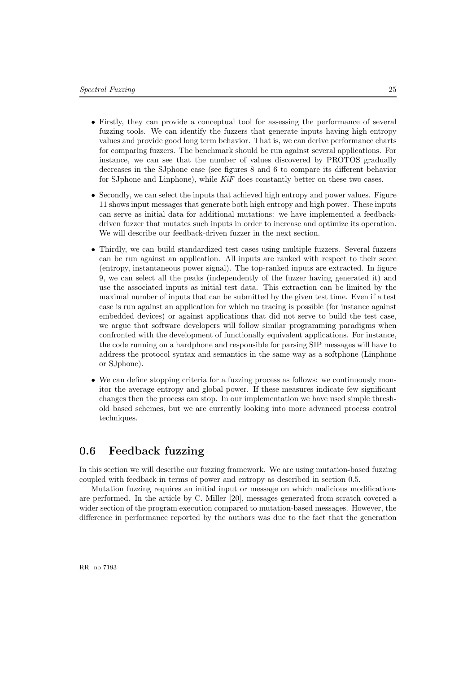- Firstly, they can provide a conceptual tool for assessing the performance of several fuzzing tools. We can identify the fuzzers that generate inputs having high entropy values and provide good long term behavior. That is, we can derive performance charts for comparing fuzzers. The benchmark should be run against several applications. For instance, we can see that the number of values discovered by PROTOS gradually decreases in the SJphone case (see figures 8 and 6 to compare its different behavior for SJphone and Linphone), while  $KiF$  does constantly better on these two cases.
- Secondly, we can select the inputs that achieved high entropy and power values. Figure 11 shows input messages that generate both high entropy and high power. These inputs can serve as initial data for additional mutations: we have implemented a feedbackdriven fuzzer that mutates such inputs in order to increase and optimize its operation. We will describe our feedback-driven fuzzer in the next section.
- Thirdly, we can build standardized test cases using multiple fuzzers. Several fuzzers can be run against an application. All inputs are ranked with respect to their score (entropy, instantaneous power signal). The top-ranked inputs are extracted. In figure 9, we can select all the peaks (independently of the fuzzer having generated it) and use the associated inputs as initial test data. This extraction can be limited by the maximal number of inputs that can be submitted by the given test time. Even if a test case is run against an application for which no tracing is possible (for instance against embedded devices) or against applications that did not serve to build the test case, we argue that software developers will follow similar programming paradigms when confronted with the development of functionally equivalent applications. For instance, the code running on a hardphone and responsible for parsing SIP messages will have to address the protocol syntax and semantics in the same way as a softphone (Linphone or SJphone).
- We can define stopping criteria for a fuzzing process as follows: we continuously monitor the average entropy and global power. If these measures indicate few significant changes then the process can stop. In our implementation we have used simple threshold based schemes, but we are currently looking into more advanced process control techniques.

#### 0.6 Feedback fuzzing

In this section we will describe our fuzzing framework. We are using mutation-based fuzzing coupled with feedback in terms of power and entropy as described in section 0.5.

Mutation fuzzing requires an initial input or message on which malicious modifications are performed. In the article by C. Miller [20], messages generated from scratch covered a wider section of the program execution compared to mutation-based messages. However, the difference in performance reported by the authors was due to the fact that the generation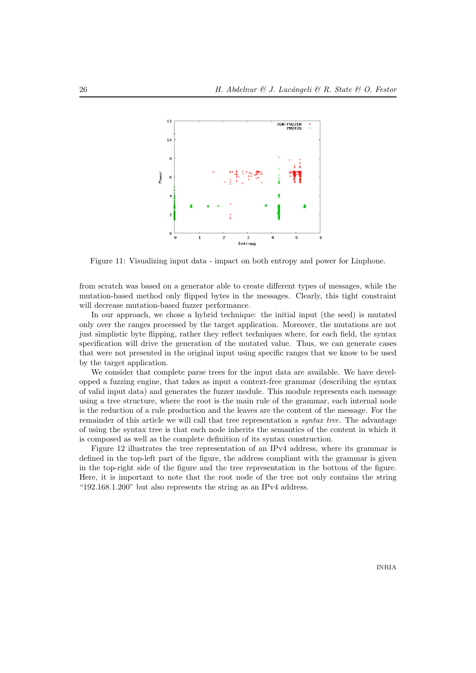

Figure 11: Visualizing input data - impact on both entropy and power for Linphone.

from scratch was based on a generator able to create different types of messages, while the mutation-based method only flipped bytes in the messages. Clearly, this tight constraint will decrease mutation-based fuzzer performance.

In our approach, we chose a hybrid technique: the initial input (the seed) is mutated only over the ranges processed by the target application. Moreover, the mutations are not just simplistic byte flipping, rather they reflect techniques where, for each field, the syntax specification will drive the generation of the mutated value. Thus, we can generate cases that were not presented in the original input using specific ranges that we know to be used by the target application.

We consider that complete parse trees for the input data are available. We have developped a fuzzing engine, that takes as input a context-free grammar (describing the syntax of valid input data) and generates the fuzzer module. This module represents each message using a tree structure, where the root is the main rule of the grammar, each internal node is the reduction of a rule production and the leaves are the content of the message. For the remainder of this article we will call that tree representation a *syntax tree*. The advantage of using the syntax tree is that each node inherits the semantics of the content in which it is composed as well as the complete definition of its syntax construction.

Figure 12 illustrates the tree representation of an IPv4 address, where its grammar is defined in the top-left part of the figure, the address compliant with the grammar is given in the top-right side of the figure and the tree representation in the bottom of the figure. Here, it is important to note that the root node of the tree not only contains the string "192.168.1.200" but also represents the string as an IPv4 address.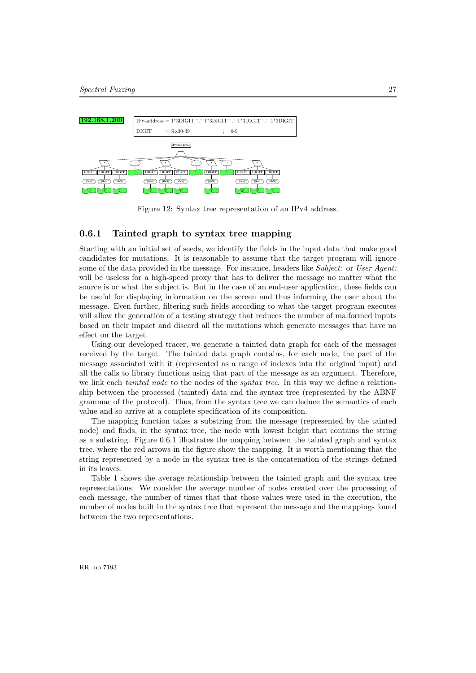

Figure 12: Syntax tree representation of an IPv4 address.

#### 0.6.1 Tainted graph to syntax tree mapping

Starting with an initial set of seeds, we identify the fields in the input data that make good candidates for mutations. It is reasonable to assume that the target program will ignore some of the data provided in the message. For instance, headers like Subject: or User Agent: will be useless for a high-speed proxy that has to deliver the message no matter what the source is or what the subject is. But in the case of an end-user application, these fields can be useful for displaying information on the screen and thus informing the user about the message. Even further, filtering such fields according to what the target program executes will allow the generation of a testing strategy that reduces the number of malformed inputs based on their impact and discard all the mutations which generate messages that have no effect on the target.

Using our developed tracer, we generate a tainted data graph for each of the messages received by the target. The tainted data graph contains, for each node, the part of the message associated with it (represented as a range of indexes into the original input) and all the calls to library functions using that part of the message as an argument. Therefore, we link each *tainted node* to the nodes of the *syntax tree*. In this way we define a relationship between the processed (tainted) data and the syntax tree (represented by the ABNF grammar of the protocol). Thus, from the syntax tree we can deduce the semantics of each value and so arrive at a complete specification of its composition.

The mapping function takes a substring from the message (represented by the tainted node) and finds, in the syntax tree, the node with lowest height that contains the string as a substring. Figure 0.6.1 illustrates the mapping between the tainted graph and syntax tree, where the red arrows in the figure show the mapping. It is worth mentioning that the string represented by a node in the syntax tree is the concatenation of the strings defined in its leaves.

Table 1 shows the average relationship between the tainted graph and the syntax tree representations. We consider the average number of nodes created over the processing of each message, the number of times that that those values were used in the execution, the number of nodes built in the syntax tree that represent the message and the mappings found between the two representations.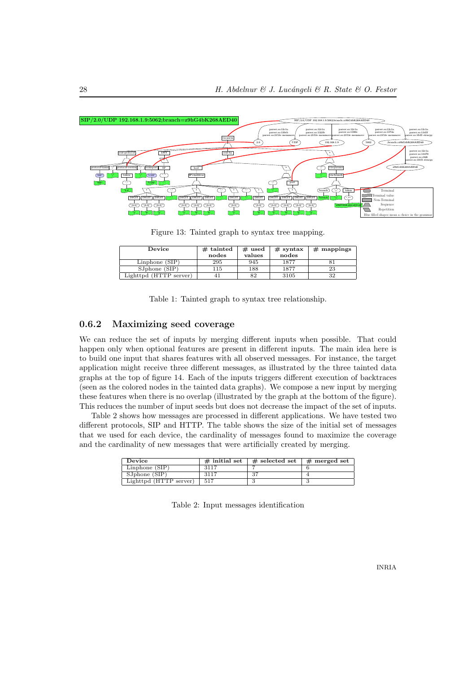

Figure 13: Tainted graph to syntax tree mapping.

| Device                            | $#$ tainted | $#$ used | $#$ syntax | $#$ mappings |
|-----------------------------------|-------------|----------|------------|--------------|
|                                   | nodes       | values   | nodes      |              |
| Linphone $(SIP)$                  | 295         | 945      | 1877       |              |
| SJphone(SIP)                      | 115         | 188      | 1877       | 23           |
| Light <sub>pd</sub> (HTTP server) |             | 82       | 3105       | 32           |

Table 1: Tainted graph to syntax tree relationship.

#### 0.6.2 Maximizing seed coverage

We can reduce the set of inputs by merging different inputs when possible. That could happen only when optional features are present in different inputs. The main idea here is to build one input that shares features with all observed messages. For instance, the target application might receive three different messages, as illustrated by the three tainted data graphs at the top of figure 14. Each of the inputs triggers different execution of backtraces (seen as the colored nodes in the tainted data graphs). We compose a new input by merging these features when there is no overlap (illustrated by the graph at the bottom of the figure). This reduces the number of input seeds but does not decrease the impact of the set of inputs.

Table 2 shows how messages are processed in different applications. We have tested two different protocols, SIP and HTTP. The table shows the size of the initial set of messages that we used for each device, the cardinality of messages found to maximize the coverage and the cardinality of new messages that were artificially created by merging.

| Device                 | $\#$ initial set | $#$ selected set | $#$ merged set |
|------------------------|------------------|------------------|----------------|
| Linphone(SIP)          | 3117             |                  |                |
| SJphone (SIP)          | 3117             | 37               |                |
| Lighttpd (HTTP server) | 517              |                  |                |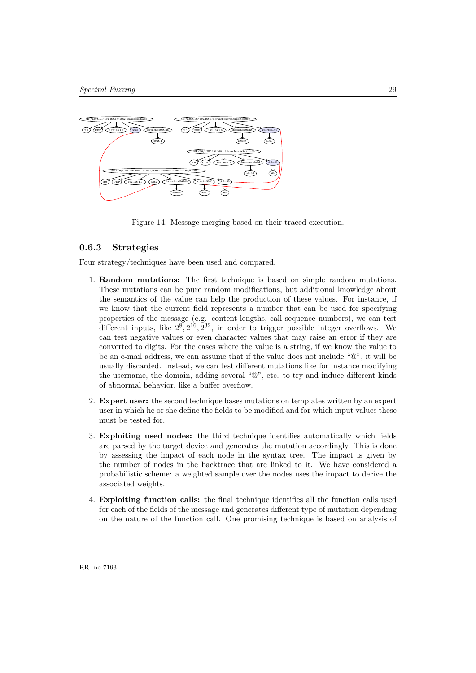

Figure 14: Message merging based on their traced execution.

#### 0.6.3 Strategies

Four strategy/techniques have been used and compared.

- 1. Random mutations: The first technique is based on simple random mutations. These mutations can be pure random modifications, but additional knowledge about the semantics of the value can help the production of these values. For instance, if we know that the current field represents a number that can be used for specifying properties of the message (e.g. content-lengths, call sequence numbers), we can test different inputs, like  $2^8, 2^{16}, 2^{32}$ , in order to trigger possible integer overflows. We can test negative values or even character values that may raise an error if they are converted to digits. For the cases where the value is a string, if we know the value to be an e-mail address, we can assume that if the value does not include "@", it will be usually discarded. Instead, we can test different mutations like for instance modifying the username, the domain, adding several "@", etc. to try and induce different kinds of abnormal behavior, like a buffer overflow.
- 2. Expert user: the second technique bases mutations on templates written by an expert user in which he or she define the fields to be modified and for which input values these must be tested for.
- 3. Exploiting used nodes: the third technique identifies automatically which fields are parsed by the target device and generates the mutation accordingly. This is done by assessing the impact of each node in the syntax tree. The impact is given by the number of nodes in the backtrace that are linked to it. We have considered a probabilistic scheme: a weighted sample over the nodes uses the impact to derive the associated weights.
- 4. Exploiting function calls: the final technique identifies all the function calls used for each of the fields of the message and generates different type of mutation depending on the nature of the function call. One promising technique is based on analysis of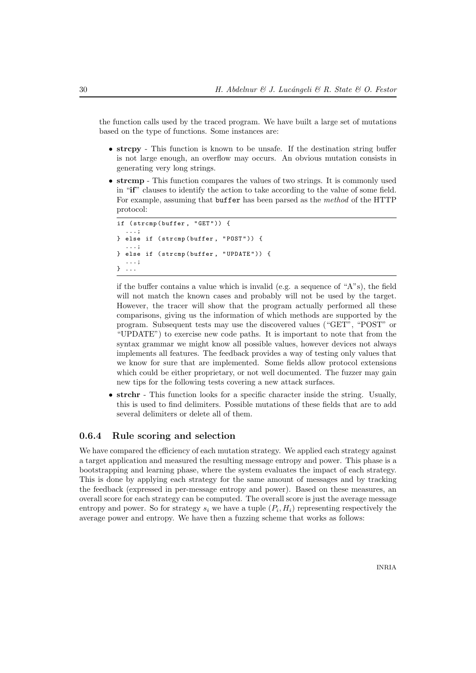the function calls used by the traced program. We have built a large set of mutations based on the type of functions. Some instances are:

- strcpy This function is known to be unsafe. If the destination string buffer is not large enough, an overflow may occurs. An obvious mutation consists in generating very long strings.
- strcmp This function compares the values of two strings. It is commonly used in "if" clauses to identify the action to take according to the value of some field. For example, assuming that buffer has been parsed as the method of the HTTP protocol:

```
if (strcmp(buffer, "GET")) {
  ...;
} else if ( strcmp ( buffer , " POST " )) {
  ...;
} else if (strcmp(buffer, "UPDATE")) {
  ...;
} ...
```
if the buffer contains a value which is invalid (e.g. a sequence of " $A$ "s), the field will not match the known cases and probably will not be used by the target. However, the tracer will show that the program actually performed all these comparisons, giving us the information of which methods are supported by the program. Subsequent tests may use the discovered values ("GET", "POST" or "UPDATE") to exercise new code paths. It is important to note that from the syntax grammar we might know all possible values, however devices not always implements all features. The feedback provides a way of testing only values that we know for sure that are implemented. Some fields allow protocol extensions which could be either proprietary, or not well documented. The fuzzer may gain new tips for the following tests covering a new attack surfaces.

• strchr - This function looks for a specific character inside the string. Usually, this is used to find delimiters. Possible mutations of these fields that are to add several delimiters or delete all of them.

#### 0.6.4 Rule scoring and selection

We have compared the efficiency of each mutation strategy. We applied each strategy against a target application and measured the resulting message entropy and power. This phase is a bootstrapping and learning phase, where the system evaluates the impact of each strategy. This is done by applying each strategy for the same amount of messages and by tracking the feedback (expressed in per-message entropy and power). Based on these measures, an overall score for each strategy can be computed. The overall score is just the average message entropy and power. So for strategy  $s_i$  we have a tuple  $(P_i, H_i)$  representing respectively the average power and entropy. We have then a fuzzing scheme that works as follows: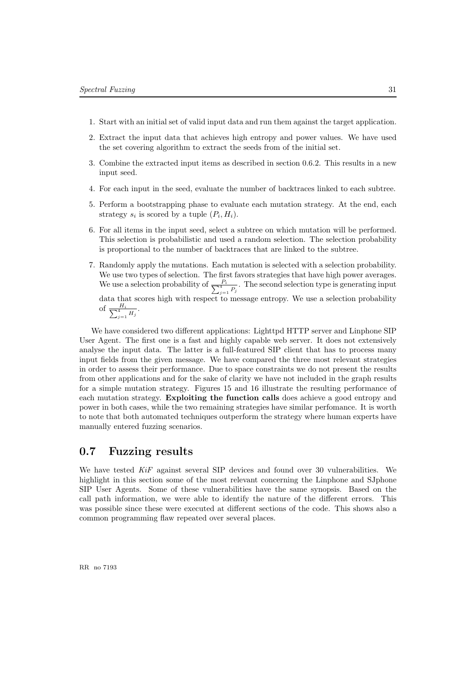- 1. Start with an initial set of valid input data and run them against the target application.
- 2. Extract the input data that achieves high entropy and power values. We have used the set covering algorithm to extract the seeds from of the initial set.
- 3. Combine the extracted input items as described in section 0.6.2. This results in a new input seed.
- 4. For each input in the seed, evaluate the number of backtraces linked to each subtree.
- 5. Perform a bootstrapping phase to evaluate each mutation strategy. At the end, each strategy  $s_i$  is scored by a tuple  $(P_i, H_i)$ .
- 6. For all items in the input seed, select a subtree on which mutation will be performed. This selection is probabilistic and used a random selection. The selection probability is proportional to the number of backtraces that are linked to the subtree.
- 7. Randomly apply the mutations. Each mutation is selected with a selection probability. We use two types of selection. The first favors strategies that have high power averages. We use a selection probability of  $\frac{P_i}{\sum_{j=1}^4 P_j}$ . The second selection type is generating input

data that scores high with respect to message entropy. We use a selection probability of  $\frac{H_i}{\sum_{j=1}^4 H_j}$ .

We have considered two different applications: Lighttpd HTTP server and Linphone SIP User Agent. The first one is a fast and highly capable web server. It does not extensively analyse the input data. The latter is a full-featured SIP client that has to process many input fields from the given message. We have compared the three most relevant strategies in order to assess their performance. Due to space constraints we do not present the results from other applications and for the sake of clarity we have not included in the graph results for a simple mutation strategy. Figures 15 and 16 illustrate the resulting performance of each mutation strategy. Exploiting the function calls does achieve a good entropy and power in both cases, while the two remaining strategies have similar perfomance. It is worth to note that both automated techniques outperform the strategy where human experts have manually entered fuzzing scenarios.

#### 0.7 Fuzzing results

We have tested  $KiF$  against several SIP devices and found over 30 vulnerabilities. We highlight in this section some of the most relevant concerning the Linphone and SJphone SIP User Agents. Some of these vulnerabilities have the same synopsis. Based on the call path information, we were able to identify the nature of the different errors. This was possible since these were executed at different sections of the code. This shows also a common programming flaw repeated over several places.

RR no 7193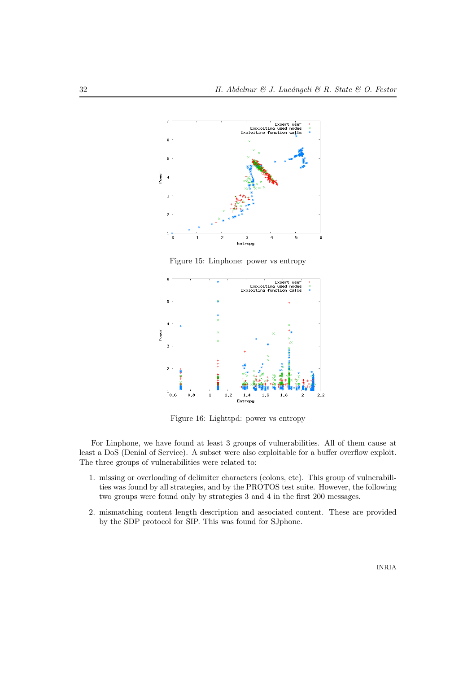

Figure 15: Linphone: power vs entropy



Figure 16: Lighttpd: power vs entropy

For Linphone, we have found at least 3 groups of vulnerabilities. All of them cause at least a DoS (Denial of Service). A subset were also exploitable for a buffer overflow exploit. The three groups of vulnerabilities were related to:

- 1. missing or overloading of delimiter characters (colons, etc). This group of vulnerabilities was found by all strategies, and by the PROTOS test suite. However, the following two groups were found only by strategies 3 and 4 in the first 200 messages.
- 2. mismatching content length description and associated content. These are provided by the SDP protocol for SIP. This was found for SJphone.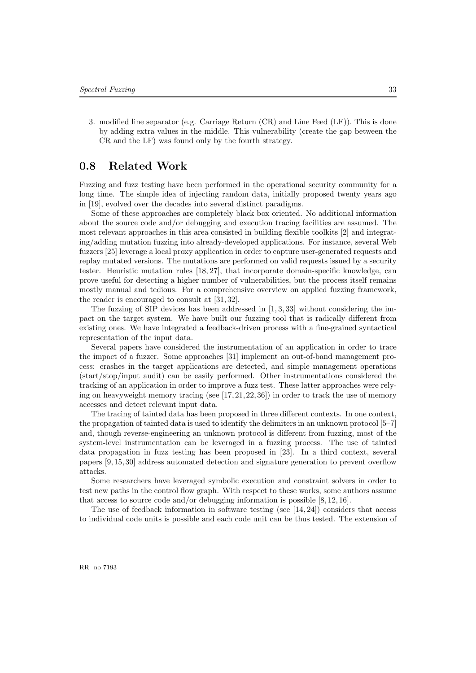3. modified line separator (e.g. Carriage Return (CR) and Line Feed (LF)). This is done by adding extra values in the middle. This vulnerability (create the gap between the CR and the LF) was found only by the fourth strategy.

#### 0.8 Related Work

Fuzzing and fuzz testing have been performed in the operational security community for a long time. The simple idea of injecting random data, initially proposed twenty years ago in [19], evolved over the decades into several distinct paradigms.

Some of these approaches are completely black box oriented. No additional information about the source code and/or debugging and execution tracing facilities are assumed. The most relevant approaches in this area consisted in building flexible toolkits [2] and integrating/adding mutation fuzzing into already-developed applications. For instance, several Web fuzzers [25] leverage a local proxy application in order to capture user-generated requests and replay mutated versions. The mutations are performed on valid requests issued by a security tester. Heuristic mutation rules [18, 27], that incorporate domain-specific knowledge, can prove useful for detecting a higher number of vulnerabilities, but the process itself remains mostly manual and tedious. For a comprehensive overview on applied fuzzing framework, the reader is encouraged to consult at [31, 32].

The fuzzing of SIP devices has been addressed in  $[1, 3, 33]$  without considering the impact on the target system. We have built our fuzzing tool that is radically different from existing ones. We have integrated a feedback-driven process with a fine-grained syntactical representation of the input data.

Several papers have considered the instrumentation of an application in order to trace the impact of a fuzzer. Some approaches [31] implement an out-of-band management process: crashes in the target applications are detected, and simple management operations (start/stop/input audit) can be easily performed. Other instrumentations considered the tracking of an application in order to improve a fuzz test. These latter approaches were relying on heavyweight memory tracing (see  $[17, 21, 22, 36]$ ) in order to track the use of memory accesses and detect relevant input data.

The tracing of tainted data has been proposed in three different contexts. In one context, the propagation of tainted data is used to identify the delimiters in an unknown protocol [5–7] and, though reverse-engineering an unknown protocol is different from fuzzing, most of the system-level instrumentation can be leveraged in a fuzzing process. The use of tainted data propagation in fuzz testing has been proposed in [23]. In a third context, several papers [9, 15, 30] address automated detection and signature generation to prevent overflow attacks.

Some researchers have leveraged symbolic execution and constraint solvers in order to test new paths in the control flow graph. With respect to these works, some authors assume that access to source code and/or debugging information is possible [8, 12, 16].

The use of feedback information in software testing (see  $[14, 24]$ ) considers that access to individual code units is possible and each code unit can be thus tested. The extension of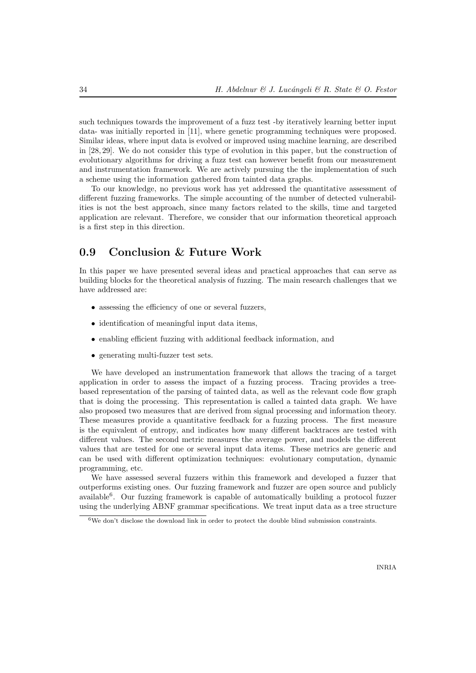such techniques towards the improvement of a fuzz test -by iteratively learning better input data- was initially reported in [11], where genetic programming techniques were proposed. Similar ideas, where input data is evolved or improved using machine learning, are described in [28, 29]. We do not consider this type of evolution in this paper, but the construction of evolutionary algorithms for driving a fuzz test can however benefit from our measurement and instrumentation framework. We are actively pursuing the the implementation of such a scheme using the information gathered from tainted data graphs.

To our knowledge, no previous work has yet addressed the quantitative assessment of different fuzzing frameworks. The simple accounting of the number of detected vulnerabilities is not the best approach, since many factors related to the skills, time and targeted application are relevant. Therefore, we consider that our information theoretical approach is a first step in this direction.

#### 0.9 Conclusion & Future Work

In this paper we have presented several ideas and practical approaches that can serve as building blocks for the theoretical analysis of fuzzing. The main research challenges that we have addressed are:

- assessing the efficiency of one or several fuzzers,
- identification of meaningful input data items,
- enabling efficient fuzzing with additional feedback information, and
- generating multi-fuzzer test sets.

We have developed an instrumentation framework that allows the tracing of a target application in order to assess the impact of a fuzzing process. Tracing provides a treebased representation of the parsing of tainted data, as well as the relevant code flow graph that is doing the processing. This representation is called a tainted data graph. We have also proposed two measures that are derived from signal processing and information theory. These measures provide a quantitative feedback for a fuzzing process. The first measure is the equivalent of entropy, and indicates how many different backtraces are tested with different values. The second metric measures the average power, and models the different values that are tested for one or several input data items. These metrics are generic and can be used with different optimization techniques: evolutionary computation, dynamic programming, etc.

We have assessed several fuzzers within this framework and developed a fuzzer that outperforms existing ones. Our fuzzing framework and fuzzer are open source and publicly available<sup>6</sup>. Our fuzzing framework is capable of automatically building a protocol fuzzer using the underlying ABNF grammar specifications. We treat input data as a tree structure

<sup>6</sup>We don't disclose the download link in order to protect the double blind submission constraints.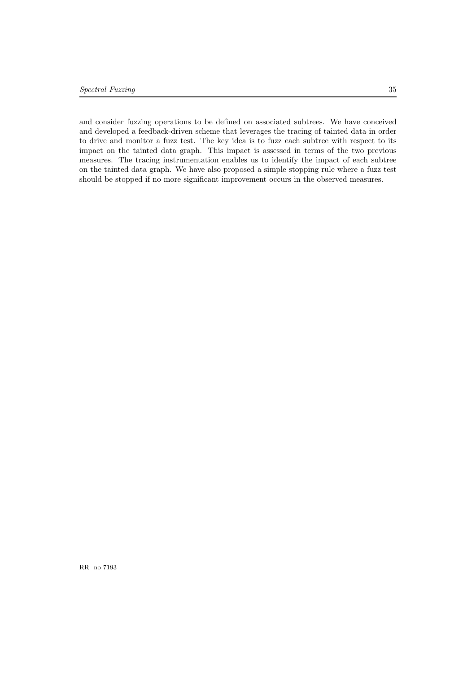and consider fuzzing operations to be defined on associated subtrees. We have conceived and developed a feedback-driven scheme that leverages the tracing of tainted data in order to drive and monitor a fuzz test. The key idea is to fuzz each subtree with respect to its impact on the tainted data graph. This impact is assessed in terms of the two previous measures. The tracing instrumentation enables us to identify the impact of each subtree on the tainted data graph. We have also proposed a simple stopping rule where a fuzz test should be stopped if no more significant improvement occurs in the observed measures.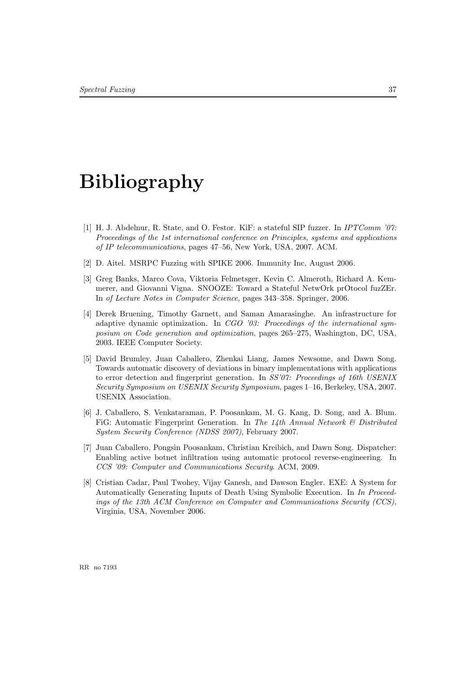# Bibliography

- [1] H. J. Abdelnur, R. State, and O. Festor. KiF: a stateful SIP fuzzer. In IPTComm '07: Proceedings of the 1st international conference on Principles, systems and applications of IP telecommunications, pages 47–56, New York, USA, 2007. ACM.
- [2] D. Aitel. MSRPC Fuzzing with SPIKE 2006. Immunity Inc, August 2006.
- [3] Greg Banks, Marco Cova, Viktoria Felmetsger, Kevin C. Almeroth, Richard A. Kemmerer, and Giovanni Vigna. SNOOZE: Toward a Stateful NetwOrk prOtocol fuzZEr. In of Lecture Notes in Computer Science, pages 343–358. Springer, 2006.
- [4] Derek Bruening, Timothy Garnett, and Saman Amarasinghe. An infrastructure for adaptive dynamic optimization. In  $CGO$  '03: Proceedings of the international symposium on Code generation and optimization, pages 265–275, Washington, DC, USA, 2003. IEEE Computer Society.
- [5] David Brumley, Juan Caballero, Zhenkai Liang, James Newsome, and Dawn Song. Towards automatic discovery of deviations in binary implementations with applications to error detection and fingerprint generation. In SS'07: Proceedings of 16th USENIX Security Symposium on USENIX Security Symposium, pages 1–16, Berkeley, USA, 2007. USENIX Association.
- [6] J. Caballero, S. Venkataraman, P. Poosankam, M. G. Kang, D. Song, and A. Blum. FiG: Automatic Fingerprint Generation. In The 14th Annual Network  $\mathcal{C}$  Distributed System Security Conference (NDSS 2007), February 2007.
- [7] Juan Caballero, Pongsin Poosankam, Christian Kreibich, and Dawn Song. Dispatcher: Enabling active botnet infiltration using automatic protocol reverse-engineering. In CCS '09: Computer and Communications Security. ACM, 2009.
- [8] Cristian Cadar, Paul Twohey, Vijay Ganesh, and Dawson Engler. EXE: A System for Automatically Generating Inputs of Death Using Symbolic Execution. In In Proceedings of the 13th ACM Conference on Computer and Communications Security (CCS), Virginia, USA, November 2006.

RR no 7193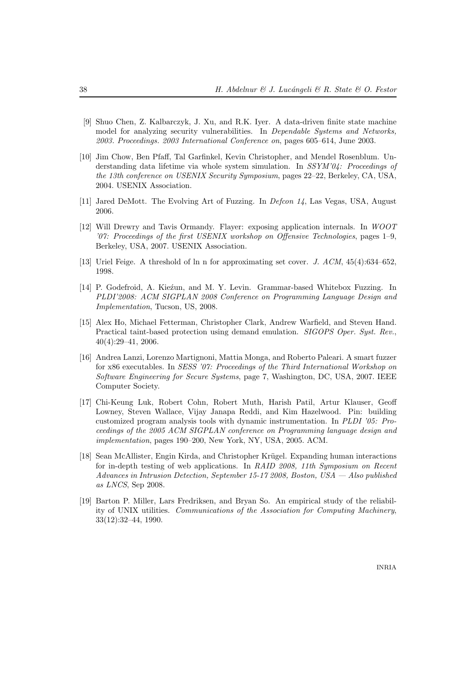- [9] Shuo Chen, Z. Kalbarczyk, J. Xu, and R.K. Iyer. A data-driven finite state machine model for analyzing security vulnerabilities. In Dependable Systems and Networks, 2003. Proceedings. 2003 International Conference on, pages 605–614, June 2003.
- [10] Jim Chow, Ben Pfaff, Tal Garfinkel, Kevin Christopher, and Mendel Rosenblum. Understanding data lifetime via whole system simulation. In SSYM'04: Proceedings of the 13th conference on USENIX Security Symposium, pages 22–22, Berkeley, CA, USA, 2004. USENIX Association.
- [11] Jared DeMott. The Evolving Art of Fuzzing. In *Defcon 14*, Las Vegas, USA, August 2006.
- [12] Will Drewry and Tavis Ormandy. Flayer: exposing application internals. In WOOT '07: Proceedings of the first USENIX workshop on Offensive Technologies, pages 1–9, Berkeley, USA, 2007. USENIX Association.
- [13] Uriel Feige. A threshold of ln n for approximating set cover. J. ACM, 45(4):634–652, 1998.
- [14] P. Godefroid, A. Kieźun, and M. Y. Levin. Grammar-based Whitebox Fuzzing. In PLDI'2008: ACM SIGPLAN 2008 Conference on Programming Language Design and Implementation, Tucson, US, 2008.
- [15] Alex Ho, Michael Fetterman, Christopher Clark, Andrew Warfield, and Steven Hand. Practical taint-based protection using demand emulation. *SIGOPS Oper. Syst. Rev.*, 40(4):29–41, 2006.
- [16] Andrea Lanzi, Lorenzo Martignoni, Mattia Monga, and Roberto Paleari. A smart fuzzer for x86 executables. In SESS '07: Proceedings of the Third International Workshop on Software Engineering for Secure Systems, page 7, Washington, DC, USA, 2007. IEEE Computer Society.
- [17] Chi-Keung Luk, Robert Cohn, Robert Muth, Harish Patil, Artur Klauser, Geoff Lowney, Steven Wallace, Vijay Janapa Reddi, and Kim Hazelwood. Pin: building customized program analysis tools with dynamic instrumentation. In PLDI '05: Proceedings of the 2005 ACM SIGPLAN conference on Programming language design and implementation, pages 190–200, New York, NY, USA, 2005. ACM.
- [18] Sean McAllister, Engin Kirda, and Christopher Krügel. Expanding human interactions for in-depth testing of web applications. In RAID 2008, 11th Symposium on Recent Advances in Intrusion Detection, September 15-17 2008, Boston, USA — Also published as LNCS, Sep 2008.
- [19] Barton P. Miller, Lars Fredriksen, and Bryan So. An empirical study of the reliability of UNIX utilities. Communications of the Association for Computing Machinery, 33(12):32–44, 1990.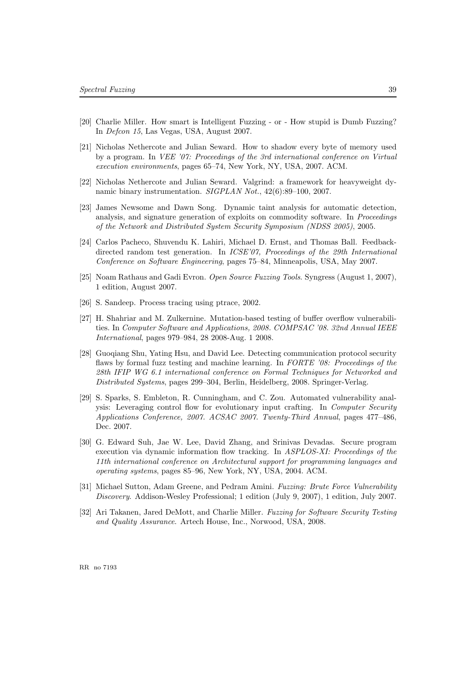- [20] Charlie Miller. How smart is Intelligent Fuzzing or How stupid is Dumb Fuzzing? In Defcon 15, Las Vegas, USA, August 2007.
- [21] Nicholas Nethercote and Julian Seward. How to shadow every byte of memory used by a program. In VEE '07: Proceedings of the 3rd international conference on Virtual execution environments, pages 65–74, New York, NY, USA, 2007. ACM.
- [22] Nicholas Nethercote and Julian Seward. Valgrind: a framework for heavyweight dynamic binary instrumentation. SIGPLAN Not., 42(6):89–100, 2007.
- [23] James Newsome and Dawn Song. Dynamic taint analysis for automatic detection, analysis, and signature generation of exploits on commodity software. In Proceedings of the Network and Distributed System Security Symposium (NDSS 2005), 2005.
- [24] Carlos Pacheco, Shuvendu K. Lahiri, Michael D. Ernst, and Thomas Ball. Feedbackdirected random test generation. In *ICSE'07*, *Proceedings of the 29th International* Conference on Software Engineering, pages 75–84, Minneapolis, USA, May 2007.
- [25] Noam Rathaus and Gadi Evron. Open Source Fuzzing Tools. Syngress (August 1, 2007), 1 edition, August 2007.
- [26] S. Sandeep. Process tracing using ptrace, 2002.
- [27] H. Shahriar and M. Zulkernine. Mutation-based testing of buffer overflow vulnerabilities. In Computer Software and Applications, 2008. COMPSAC '08. 32nd Annual IEEE International, pages 979–984, 28 2008-Aug. 1 2008.
- [28] Guoqiang Shu, Yating Hsu, and David Lee. Detecting communication protocol security flaws by formal fuzz testing and machine learning. In FORTE '08: Proceedings of the 28th IFIP WG 6.1 international conference on Formal Techniques for Networked and Distributed Systems, pages 299–304, Berlin, Heidelberg, 2008. Springer-Verlag.
- [29] S. Sparks, S. Embleton, R. Cunningham, and C. Zou. Automated vulnerability analysis: Leveraging control flow for evolutionary input crafting. In Computer Security Applications Conference, 2007. ACSAC 2007. Twenty-Third Annual, pages 477–486, Dec. 2007.
- [30] G. Edward Suh, Jae W. Lee, David Zhang, and Srinivas Devadas. Secure program execution via dynamic information flow tracking. In ASPLOS-XI: Proceedings of the 11th international conference on Architectural support for programming languages and operating systems, pages 85–96, New York, NY, USA, 2004. ACM.
- [31] Michael Sutton, Adam Greene, and Pedram Amini. Fuzzing: Brute Force Vulnerability Discovery. Addison-Wesley Professional; 1 edition (July 9, 2007), 1 edition, July 2007.
- [32] Ari Takanen, Jared DeMott, and Charlie Miller. Fuzzing for Software Security Testing and Quality Assurance. Artech House, Inc., Norwood, USA, 2008.

RR no 7193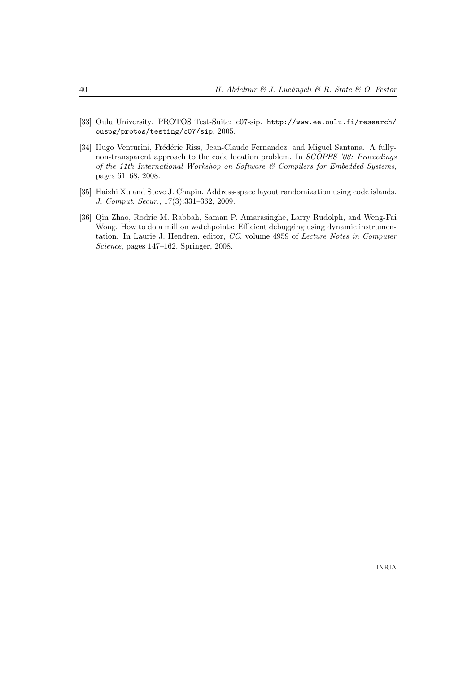- [33] Oulu University. PROTOS Test-Suite: c07-sip. http://www.ee.oulu.fi/research/ ouspg/protos/testing/c07/sip, 2005.
- [34] Hugo Venturini, Frédéric Riss, Jean-Claude Fernandez, and Miguel Santana. A fullynon-transparent approach to the code location problem. In SCOPES '08: Proceedings of the 11th International Workshop on Software & Compilers for Embedded Systems, pages 61–68, 2008.
- [35] Haizhi Xu and Steve J. Chapin. Address-space layout randomization using code islands. J. Comput. Secur., 17(3):331–362, 2009.
- [36] Qin Zhao, Rodric M. Rabbah, Saman P. Amarasinghe, Larry Rudolph, and Weng-Fai Wong. How to do a million watchpoints: Efficient debugging using dynamic instrumentation. In Laurie J. Hendren, editor, CC, volume 4959 of Lecture Notes in Computer Science, pages 147–162. Springer, 2008.